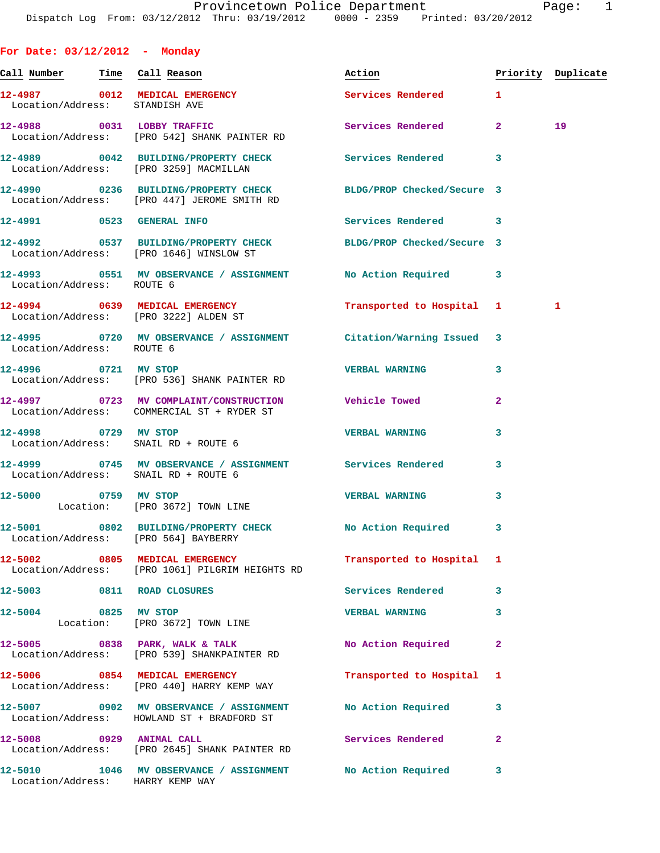| For Date: 03/12/2012 - Monday  |                                                                                                                |                           |                |                    |
|--------------------------------|----------------------------------------------------------------------------------------------------------------|---------------------------|----------------|--------------------|
|                                |                                                                                                                | Action                    |                | Priority Duplicate |
| Location/Address: STANDISH AVE | 12-4987 0012 MEDICAL EMERGENCY                                                                                 | Services Rendered 1       |                |                    |
|                                | 12-4988 0031 LOBBY TRAFFIC<br>Location/Address: [PRO 542] SHANK PAINTER RD                                     | Services Rendered         | 2 <sup>1</sup> | 19                 |
|                                | 12-4989 0042 BUILDING/PROPERTY CHECK Services Rendered<br>Location/Address: [PRO 3259] MACMILLAN               |                           | 3              |                    |
|                                | 12-4990 0236 BUILDING/PROPERTY CHECK BLDG/PROP Checked/Secure 3<br>Location/Address: [PRO 447] JEROME SMITH RD |                           |                |                    |
|                                | 12-4991 0523 GENERAL INFO                                                                                      | Services Rendered 3       |                |                    |
|                                | 12-4992 0537 BUILDING/PROPERTY CHECK BLDG/PROP Checked/Secure 3<br>Location/Address: [PRO 1646] WINSLOW ST     |                           |                |                    |
| Location/Address: ROUTE 6      | 12-4993 0551 MV OBSERVANCE / ASSIGNMENT No Action Required                                                     |                           | 3              |                    |
|                                | 12-4994 0639 MEDICAL EMERGENCY Transported to Hospital 1<br>Location/Address: [PRO 3222] ALDEN ST              |                           |                | 1                  |
| Location/Address: ROUTE 6      | 12-4995 0720 MV OBSERVANCE / ASSIGNMENT Citation/Warning Issued                                                |                           | 3              |                    |
| 12-4996 0721 MV STOP           | Location/Address: [PRO 536] SHANK PAINTER RD                                                                   | <b>VERBAL WARNING</b>     | 3              |                    |
|                                | 12-4997 0723 MV COMPLAINT/CONSTRUCTION Vehicle Towed<br>Location/Address: COMMERCIAL ST + RYDER ST             |                           | $\mathbf{2}$   |                    |
|                                | 12-4998 0729 MV STOP<br>Location/Address: SNAIL RD + ROUTE 6                                                   | <b>VERBAL WARNING</b>     | 3              |                    |
|                                | 12-4999 0745 MV OBSERVANCE / ASSIGNMENT Services Rendered<br>Location/Address: SNAIL RD + ROUTE 6              |                           | 3              |                    |
|                                | 12-5000 0759 MV STOP<br>Location: [PRO 3672] TOWN LINE                                                         | <b>VERBAL WARNING</b>     | 3              |                    |
|                                | 12-5001 0802 BUILDING/PROPERTY CHECK No Action Required<br>Location/Address: [PRO 564] BAYBERRY                |                           |                |                    |
|                                | 12-5002 0805 MEDICAL EMERGENCY<br>Location/Address: [PRO 1061] PILGRIM HEIGHTS RD                              | Transported to Hospital 1 |                |                    |
|                                | 12-5003 0811 ROAD CLOSURES                                                                                     | Services Rendered         | 3              |                    |
| 12-5004                        | 0825 MV STOP<br>Location: [PRO 3672] TOWN LINE                                                                 | <b>VERBAL WARNING</b>     | 3              |                    |
|                                | 12-5005 0838 PARK, WALK & TALK<br>Location/Address: [PRO 539] SHANKPAINTER RD                                  | No Action Required        | $\overline{a}$ |                    |
|                                | 12-5006 0854 MEDICAL EMERGENCY<br>Location/Address: [PRO 440] HARRY KEMP WAY                                   | Transported to Hospital   | 1              |                    |
|                                | 12-5007 0902 MV OBSERVANCE / ASSIGNMENT No Action Required<br>Location/Address: HOWLAND ST + BRADFORD ST       |                           | 3              |                    |
| 12-5008 0929 ANIMAL CALL       | Location/Address: [PRO 2645] SHANK PAINTER RD                                                                  | Services Rendered         | $\mathbf{2}$   |                    |
| $12 - 5010$                    | 1046 MV OBSERVANCE / ASSIGNMENT No Action Required<br>Location/Address: HARRY KEMP WAY                         |                           | 3              |                    |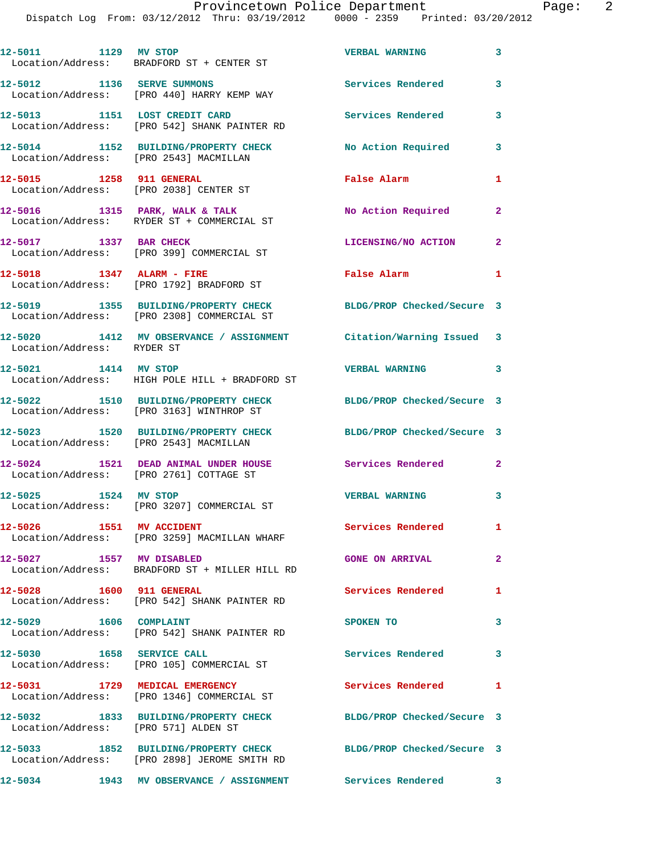Dispatch Log From: 03/12/2012 Thru: 03/19/2012 0000 - 2359 Printed: 03/20/2012

| 12-5011 1129 MV STOP                                               | Location/Address: BRADFORD ST + CENTER ST                                            | <b>VERBAL WARNING</b>      | $\overline{\mathbf{3}}$ |
|--------------------------------------------------------------------|--------------------------------------------------------------------------------------|----------------------------|-------------------------|
| 12-5012 1136 SERVE SUMMONS                                         | Location/Address: [PRO 440] HARRY KEMP WAY                                           | <b>Services Rendered</b>   | 3                       |
| 12-5013 1151 LOST CREDIT CARD                                      | Location/Address: [PRO 542] SHANK PAINTER RD                                         | Services Rendered          | 3                       |
| Location/Address: [PRO 2543] MACMILLAN                             | 12-5014 1152 BUILDING/PROPERTY CHECK                                                 | <b>No Action Required</b>  | 3                       |
| 12-5015 1258 911 GENERAL<br>Location/Address: [PRO 2038] CENTER ST |                                                                                      | False Alarm                | 1                       |
|                                                                    | 12-5016 1315 PARK, WALK & TALK<br>Location/Address: RYDER ST + COMMERCIAL ST         | No Action Required         | $\mathbf{2}$            |
|                                                                    | 12-5017 1337 BAR CHECK<br>Location/Address: [PRO 399] COMMERCIAL ST                  | <b>LICENSING/NO ACTION</b> | $\mathbf{2}$            |
| 12-5018 1347 ALARM - FIRE                                          | Location/Address: [PRO 1792] BRADFORD ST                                             | <b>False Alarm</b>         | $\mathbf{1}$            |
|                                                                    | 12-5019 1355 BUILDING/PROPERTY CHECK<br>Location/Address: [PRO 2308] COMMERCIAL ST   | BLDG/PROP Checked/Secure 3 |                         |
| Location/Address: RYDER ST                                         | 12-5020 1412 MV OBSERVANCE / ASSIGNMENT Citation/Warning Issued 3                    |                            |                         |
| 12-5021 1414 MV STOP                                               | Location/Address: HIGH POLE HILL + BRADFORD ST                                       | VERBAL WARNING 3           |                         |
|                                                                    | 12-5022 1510 BUILDING/PROPERTY CHECK<br>Location/Address: [PRO 3163] WINTHROP ST     | BLDG/PROP Checked/Secure 3 |                         |
| Location/Address: [PRO 2543] MACMILLAN                             | 12-5023 1520 BUILDING/PROPERTY CHECK                                                 | BLDG/PROP Checked/Secure 3 |                         |
|                                                                    | 12-5024 1521 DEAD ANIMAL UNDER HOUSE<br>Location/Address: [PRO 2761] COTTAGE ST      | <b>Services Rendered</b>   | $\overline{a}$          |
| 12-5025 1524 MV STOP                                               | Location/Address: [PRO 3207] COMMERCIAL ST                                           | <b>VERBAL WARNING</b>      | $\overline{\mathbf{3}}$ |
| 12-5026 1551 MV ACCIDENT                                           | Location/Address: [PRO 3259] MACMILLAN WHARF                                         | Services Rendered          | $\mathbf{1}$            |
| 12-5027 1557 MV DISABLED                                           | Location/Address: BRADFORD ST + MILLER HILL RD                                       | <b>GONE ON ARRIVAL</b>     | $\mathbf{2}$            |
| 12-5028 1600 911 GENERAL                                           | Location/Address: [PRO 542] SHANK PAINTER RD                                         | Services Rendered          | 1                       |
| 12-5029 1606 COMPLAINT                                             | Location/Address: [PRO 542] SHANK PAINTER RD                                         | SPOKEN TO                  | 3                       |
| 12-5030 1658 SERVICE CALL                                          | Location/Address: [PRO 105] COMMERCIAL ST                                            | Services Rendered          | 3                       |
|                                                                    | 12-5031 1729 MEDICAL EMERGENCY<br>Location/Address: [PRO 1346] COMMERCIAL ST         | Services Rendered          | 1                       |
| Location/Address: [PRO 571] ALDEN ST                               | 12-5032 1833 BUILDING/PROPERTY CHECK                                                 | BLDG/PROP Checked/Secure 3 |                         |
|                                                                    | 12-5033 1852 BUILDING/PROPERTY CHECK<br>Location/Address: [PRO 2898] JEROME SMITH RD | BLDG/PROP Checked/Secure 3 |                         |
|                                                                    | 12-5034 1943 MV OBSERVANCE / ASSIGNMENT Services Rendered 3                          |                            |                         |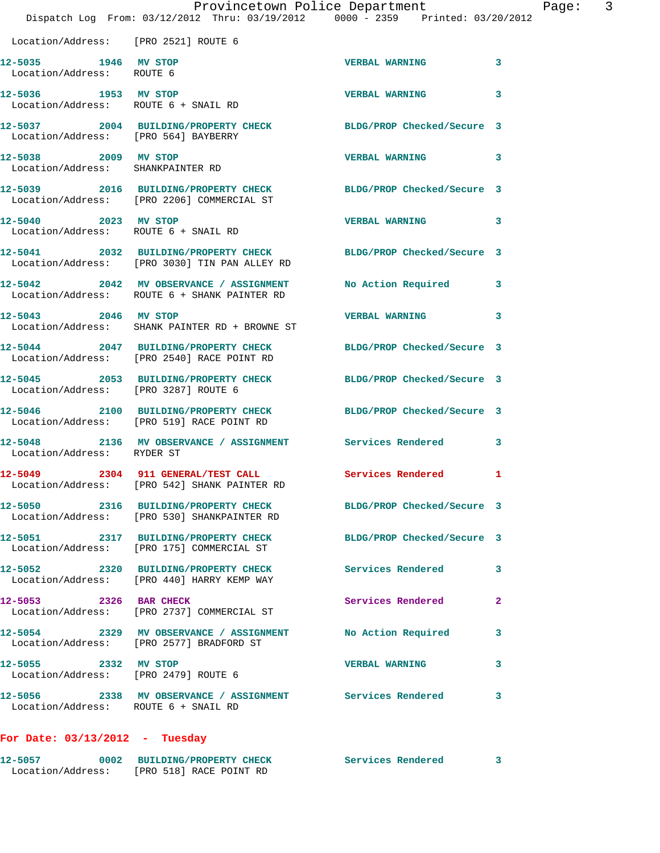|                                                              | Dispatch Log From: 03/12/2012 Thru: 03/19/2012 0000 - 2359 Printed: 03/20/2012                                   | Provincetown Police Department | Page: 3      |
|--------------------------------------------------------------|------------------------------------------------------------------------------------------------------------------|--------------------------------|--------------|
| Location/Address: [PRO 2521] ROUTE 6                         |                                                                                                                  |                                |              |
| 12-5035 1946 MV STOP<br>Location/Address: ROUTE 6            |                                                                                                                  | <b>VERBAL WARNING</b>          | 3            |
| 12-5036 1953 MV STOP<br>Location/Address: ROUTE 6 + SNAIL RD |                                                                                                                  | <b>VERBAL WARNING</b>          | 3            |
| Location/Address: [PRO 564] BAYBERRY                         | 12-5037 2004 BUILDING/PROPERTY CHECK BLDG/PROP Checked/Secure 3                                                  |                                |              |
| 12-5038 2009 MV STOP<br>Location/Address: SHANKPAINTER RD    |                                                                                                                  | <b>VERBAL WARNING</b>          | $\mathbf{3}$ |
|                                                              | 12-5039 2016 BUILDING/PROPERTY CHECK BLDG/PROP Checked/Secure 3<br>Location/Address: [PRO 2206] COMMERCIAL ST    |                                |              |
| 12-5040 2023 MV STOP<br>Location/Address: ROUTE 6 + SNAIL RD |                                                                                                                  | <b>VERBAL WARNING</b>          | 3            |
|                                                              | 12-5041 2032 BUILDING/PROPERTY CHECK BLDG/PROP Checked/Secure 3<br>Location/Address: [PRO 3030] TIN PAN ALLEY RD |                                |              |
|                                                              | 12-5042 2042 MV OBSERVANCE / ASSIGNMENT<br>Location/Address: ROUTE 6 + SHANK PAINTER RD                          | No Action Required 3           |              |
| 12-5043 2046 MV STOP                                         | Location/Address: SHANK PAINTER RD + BROWNE ST                                                                   | <b>VERBAL WARNING</b>          | 3            |
|                                                              | 12-5044 2047 BUILDING/PROPERTY CHECK<br>Location/Address: [PRO 2540] RACE POINT RD                               | BLDG/PROP Checked/Secure 3     |              |
| Location/Address: [PRO 3287] ROUTE 6                         | 12-5045 2053 BUILDING/PROPERTY CHECK BLDG/PROP Checked/Secure 3                                                  |                                |              |
|                                                              | 12-5046 2100 BUILDING/PROPERTY CHECK BLDG/PROP Checked/Secure 3<br>Location/Address: [PRO 519] RACE POINT RD     |                                |              |
| Location/Address: RYDER ST                                   | 12-5048 2136 MV OBSERVANCE / ASSIGNMENT Services Rendered                                                        |                                | 3            |
| Location/Address:                                            | 12-5049 2304 911 GENERAL/TEST CALL Services Rendered<br>[PRO 542] SHANK PAINTER RD                               |                                | $\mathbf{1}$ |
|                                                              | 12-5050 2316 BUILDING/PROPERTY CHECK BLDG/PROP Checked/Secure 3<br>Location/Address: [PRO 530] SHANKPAINTER RD   |                                |              |
|                                                              | 12-5051 2317 BUILDING/PROPERTY CHECK<br>Location/Address: [PRO 175] COMMERCIAL ST                                | BLDG/PROP Checked/Secure 3     |              |
|                                                              | 12-5052 2320 BUILDING/PROPERTY CHECK Services Rendered 3<br>Location/Address: [PRO 440] HARRY KEMP WAY           |                                |              |
|                                                              | 12-5053 2326 BAR CHECK<br>Location/Address: [PRO 2737] COMMERCIAL ST                                             | Services Rendered              | $\mathbf{2}$ |
|                                                              | 12-5054 2329 MV OBSERVANCE / ASSIGNMENT No Action Required<br>Location/Address: [PRO 2577] BRADFORD ST           |                                | 3            |
|                                                              | 12-5055 2332 MV STOP<br>Location/Address: [PRO 2479] ROUTE 6                                                     | <b>VERBAL WARNING</b>          | 3            |
| Location/Address: ROUTE 6 + SNAIL RD                         | 12-5056 2338 MV OBSERVANCE / ASSIGNMENT Services Rendered                                                        |                                | 3            |
|                                                              |                                                                                                                  |                                |              |

## **For Date: 03/13/2012 - Tuesday**

| 12-5057           | 0002 BUILDING/PROPERTY CHECK | Services Rendered |  |
|-------------------|------------------------------|-------------------|--|
| Location/Address: | [PRO 518] RACE POINT RD      |                   |  |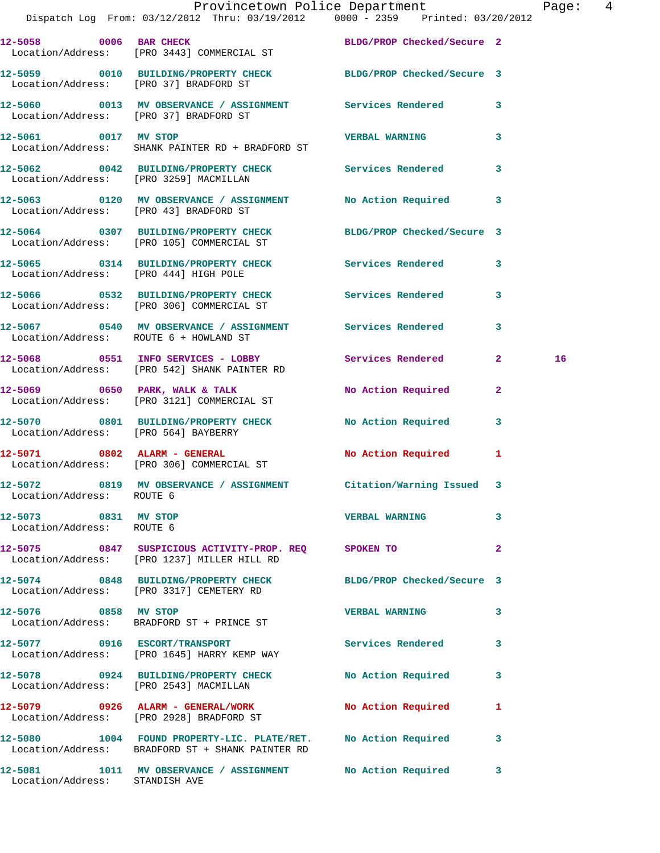|                                                   | Provincetown Police Department The Rage: 4<br>Dispatch Log From: 03/12/2012 Thru: 03/19/2012 0000 - 2359 Printed: 03/20/2012 |                       |                         |    |  |
|---------------------------------------------------|------------------------------------------------------------------------------------------------------------------------------|-----------------------|-------------------------|----|--|
|                                                   | 12-5058 0006 BAR CHECK BLDG/PROP Checked/Secure 2<br>Location/Address: [PRO 3443] COMMERCIAL ST                              |                       |                         |    |  |
|                                                   | 12-5059 0010 BUILDING/PROPERTY CHECK BLDG/PROP Checked/Secure 3<br>Location/Address: [PRO 37] BRADFORD ST                    |                       |                         |    |  |
|                                                   | 12-5060 0013 MV OBSERVANCE / ASSIGNMENT Services Rendered 3<br>Location/Address: [PRO 37] BRADFORD ST                        |                       |                         |    |  |
| 12-5061 0017 MV STOP                              | Location/Address: SHANK PAINTER RD + BRADFORD ST                                                                             | VERBAL WARNING        | 3                       |    |  |
|                                                   | 12-5062 0042 BUILDING/PROPERTY CHECK Services Rendered 3<br>Location/Address: [PRO 3259] MACMILLAN                           |                       |                         |    |  |
|                                                   | 12-5063 0120 MV OBSERVANCE / ASSIGNMENT No Action Required 3<br>Location/Address: [PRO 43] BRADFORD ST                       |                       |                         |    |  |
|                                                   | 12-5064 0307 BUILDING/PROPERTY CHECK BLDG/PROP Checked/Secure 3<br>Location/Address: [PRO 105] COMMERCIAL ST                 |                       |                         |    |  |
|                                                   | 12-5065 0314 BUILDING/PROPERTY CHECK Services Rendered 3<br>Location/Address: [PRO 444] HIGH POLE                            |                       |                         |    |  |
|                                                   | 12-5066 0532 BUILDING/PROPERTY CHECK Services Rendered 3<br>Location/Address: [PRO 306] COMMERCIAL ST                        |                       |                         |    |  |
|                                                   | 12-5067 0540 MV OBSERVANCE / ASSIGNMENT Services Rendered 3<br>Location/Address: ROUTE 6 + HOWLAND ST                        |                       |                         |    |  |
|                                                   | 12-5068 0551 INFO SERVICES - LOBBY Services Rendered 2<br>Location/Address: [PRO 542] SHANK PAINTER RD                       |                       |                         | 16 |  |
|                                                   | 12-5069 0650 PARK, WALK & TALK<br>Location/Address: [PRO 3121] COMMERCIAL ST                                                 | No Action Required    | $\mathbf{2}$            |    |  |
| Location/Address: [PRO 564] BAYBERRY              | 12-5070 0801 BUILDING/PROPERTY CHECK No Action Required 3                                                                    |                       |                         |    |  |
|                                                   | 12-5071 0802 ALARM - GENERAL<br>Location/Address: [PRO 306] COMMERCIAL ST                                                    | No Action Required 1  |                         |    |  |
| Location/Address: ROUTE 6                         | 12-5072 0819 MV OBSERVANCE / ASSIGNMENT Citation/Warning Issued 3                                                            |                       |                         |    |  |
| 12-5073 0831 MV STOP<br>Location/Address: ROUTE 6 |                                                                                                                              | <b>VERBAL WARNING</b> | $\mathbf{3}$            |    |  |
|                                                   | 12-5075 0847 SUSPICIOUS ACTIVITY-PROP. REQ SPOKEN TO<br>Location/Address: [PRO 1237] MILLER HILL RD                          |                       | $\mathbf{2}$            |    |  |
|                                                   | 12-5074 0848 BUILDING/PROPERTY CHECK BLDG/PROP Checked/Secure 3<br>Location/Address: [PRO 3317] CEMETERY RD                  |                       |                         |    |  |
| 12-5076 0858 MV STOP                              | Location/Address: BRADFORD ST + PRINCE ST                                                                                    | VERBAL WARNING 3      |                         |    |  |
|                                                   | 12-5077 0916 ESCORT/TRANSPORT<br>Location/Address: [PRO 1645] HARRY KEMP WAY                                                 | Services Rendered     | 3                       |    |  |
|                                                   | 12-5078 0924 BUILDING/PROPERTY CHECK No Action Required<br>Location/Address: [PRO 2543] MACMILLAN                            |                       | $\overline{\mathbf{3}}$ |    |  |
|                                                   | 12-5079 0926 ALARM - GENERAL/WORK<br>Location/Address: [PRO 2928] BRADFORD ST                                                | No Action Required    | 1                       |    |  |
|                                                   | 12-5080 1004 FOUND PROPERTY-LIC. PLATE/RET. No Action Required<br>Location/Address: BRADFORD ST + SHANK PAINTER RD           |                       | $\mathbf{3}$            |    |  |
|                                                   | 12-5081 1011 MV OBSERVANCE / ASSIGNMENT No Action Required                                                                   |                       | 3                       |    |  |

Location/Address: STANDISH AVE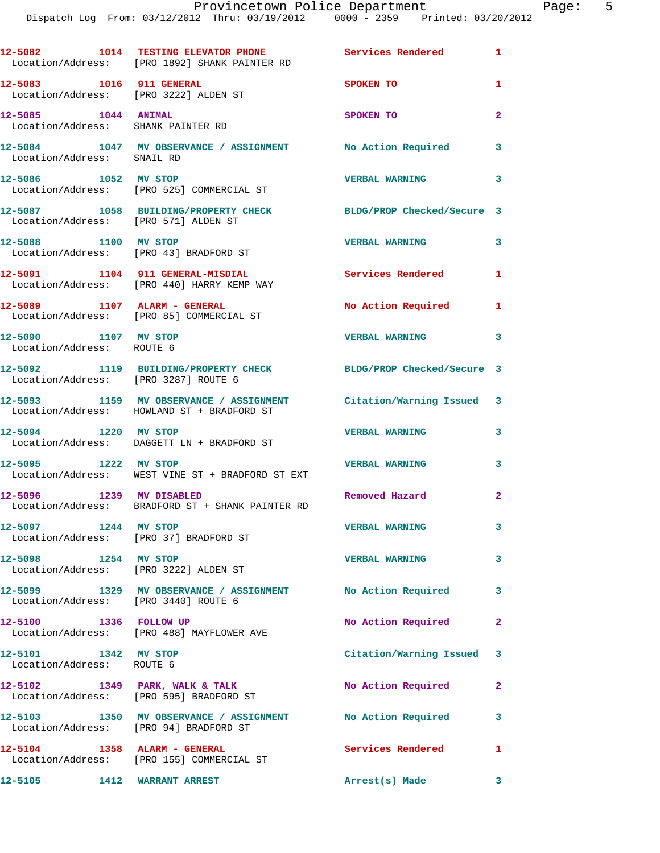| 12-5082                                                           | 1014 TESTING ELEVATOR PHONE<br>Location/Address: [PRO 1892] SHANK PAINTER RD                                    | Services Rendered          | $\mathbf{1}$             |
|-------------------------------------------------------------------|-----------------------------------------------------------------------------------------------------------------|----------------------------|--------------------------|
| 12-5083 1016 911 GENERAL<br>Location/Address: [PRO 3222] ALDEN ST |                                                                                                                 | SPOKEN TO                  | 1                        |
| 12-5085 1044 ANIMAL<br>Location/Address: SHANK PAINTER RD         |                                                                                                                 | SPOKEN TO                  | $\overline{2}$           |
| Location/Address: SNAIL RD                                        | 12-5084 1047 MV OBSERVANCE / ASSIGNMENT No Action Required                                                      |                            | 3                        |
| 12-5086 1052 MV STOP                                              | Location/Address: [PRO 525] COMMERCIAL ST                                                                       | <b>VERBAL WARNING</b>      | 3                        |
| Location/Address: [PRO 571] ALDEN ST                              | 12-5087 1058 BUILDING/PROPERTY CHECK                                                                            | BLDG/PROP Checked/Secure 3 |                          |
| 12-5088 1100 MV STOP<br>Location/Address: [PRO 43] BRADFORD ST    |                                                                                                                 | <b>VERBAL WARNING</b>      | 3                        |
|                                                                   | 12-5091 1104 911 GENERAL-MISDIAL<br>Location/Address: [PRO 440] HARRY KEMP WAY                                  | <b>Services Rendered</b>   | $\mathbf{1}$             |
|                                                                   | 12-5089 1107 ALARM - GENERAL<br>Location/Address: [PRO 85] COMMERCIAL ST                                        | No Action Required         | 1                        |
| 12-5090 1107 MV STOP<br>Location/Address: ROUTE 6                 |                                                                                                                 | <b>VERBAL WARNING</b>      | $\overline{\phantom{a}}$ |
| Location/Address: [PRO 3287] ROUTE 6                              | 12-5092 1119 BUILDING/PROPERTY CHECK BLDG/PROP Checked/Secure 3                                                 |                            |                          |
|                                                                   | 12-5093 1159 MV OBSERVANCE / ASSIGNMENT Citation/Warning Issued 3<br>Location/Address: HOWLAND ST + BRADFORD ST |                            |                          |
|                                                                   | 12-5094 1220 MV STOP<br>Location/Address: DAGGETT LN + BRADFORD ST                                              | <b>VERBAL WARNING</b>      | 3                        |
| 12-5095 1222 MV STOP                                              | Location/Address: WEST VINE ST + BRADFORD ST EXT                                                                | <b>VERBAL WARNING</b>      | 3                        |
| 12-5096 1239 MV DISABLED                                          | Location/Address: BRADFORD ST + SHANK PAINTER RD                                                                | Removed Hazard             | $\overline{2}$           |
| 12-5097 1244 MV STOP<br>Location/Address: [PRO 37] BRADFORD ST    |                                                                                                                 | <b>VERBAL WARNING</b>      |                          |
| 12-5098 1254 MV STOP<br>Location/Address: [PRO 3222] ALDEN ST     |                                                                                                                 | <b>VERBAL WARNING</b>      | 3                        |
| Location/Address: [PRO 3440] ROUTE 6                              | 12-5099 1329 MV OBSERVANCE / ASSIGNMENT No Action Required                                                      |                            | 3                        |
| 12-5100 1336 FOLLOW UP                                            | Location/Address: [PRO 488] MAYFLOWER AVE                                                                       | No Action Required         | $\mathbf{2}$             |
| 12-5101 1342 MV STOP<br>Location/Address: ROUTE 6                 |                                                                                                                 | Citation/Warning Issued 3  |                          |
|                                                                   | 12-5102 1349 PARK, WALK & TALK<br>Location/Address: [PRO 595] BRADFORD ST                                       | No Action Required         | $\mathbf{2}$             |
| Location/Address: [PRO 94] BRADFORD ST                            | 12-5103 1350 MV OBSERVANCE / ASSIGNMENT No Action Required                                                      |                            | 3                        |
|                                                                   | $12-5104$ 1358 ALARM - GENERAL<br>Location/Address: [PRO 155] COMMERCIAL ST                                     | Services Rendered          | 1                        |
| 12-5105 1412 WARRANT ARREST                                       |                                                                                                                 | Arrest(s) Made             | 3                        |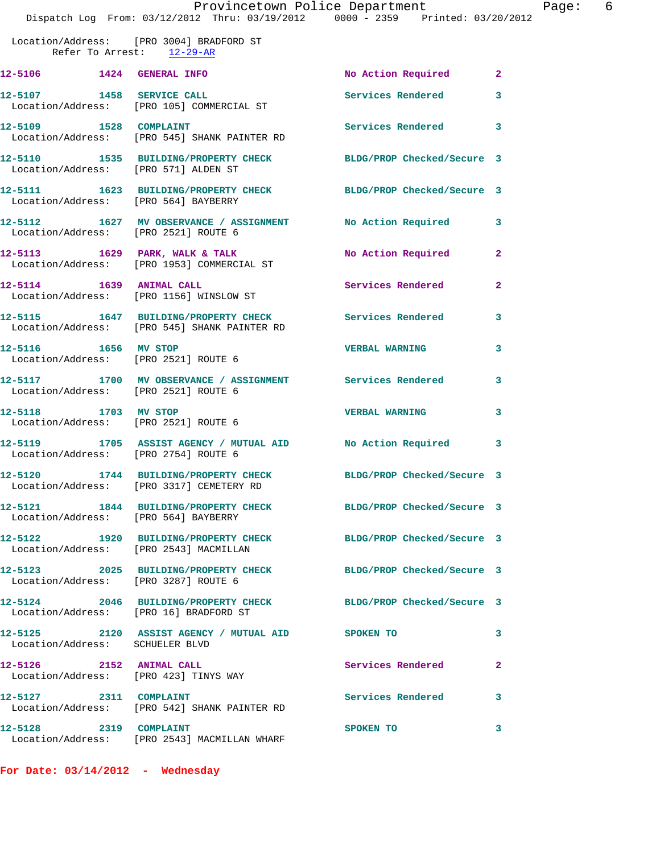Location/Address: [PRO 3004] BRADFORD ST Refer To Arrest: 12-29-AR **12-5106 1424 GENERAL INFO No Action Required 2** 

12-5107 1458 SERVICE CALL **Services Rendered** 3 Location/Address: [PRO 105] COMMERCIAL ST 12-5109 1528 COMPLAINT **12-5109** Services Rendered 3 Location/Address: [PRO 545] SHANK PAINTER RD

**12-5110 1535 BUILDING/PROPERTY CHECK BLDG/PROP Checked/Secure 3**  Location/Address: [PRO 571] ALDEN ST **12-5111 1623 BUILDING/PROPERTY CHECK BLDG/PROP Checked/Secure 3** 

 Location/Address: [PRO 564] BAYBERRY **12-5112 1627 MV OBSERVANCE / ASSIGNMENT No Action Required 3**  Location/Address: [PRO 2521] ROUTE 6

**12-5113 1629 PARK, WALK & TALK No Action Required 2**  Location/Address: [PRO 1953] COMMERCIAL ST **12-5114 1639 ANIMAL CALL Services Rendered 2**  Location/Address: [PRO 1156] WINSLOW ST

**12-5115 1647 BUILDING/PROPERTY CHECK Services Rendered 3**  Location/Address: [PRO 545] SHANK PAINTER RD

**12-5116 1656 MV STOP VERBAL WARNING 3**  Location/Address: [PRO 2521] ROUTE 6

**12-5117 1700 MV OBSERVANCE / ASSIGNMENT Services Rendered 3**  Location/Address: [PRO 2521] ROUTE 6

**12-5118 1703 MV STOP VERBAL WARNING 3**  Location/Address: [PRO 2521] ROUTE 6

**12-5120 1744 BUILDING/PROPERTY CHECK BLDG/PROP Checked/Secure 3** 

Location/Address: [PRO 3287] ROUTE 6

**12-5124 2046 BUILDING/PROPERTY CHECK BLDG/PROP Checked/Secure 3** 

Location/Address: [PRO 423] TINYS WAY

Location/Address: [PRO 2543] MACMILLAN WHARF

**For Date: 03/14/2012 - Wednesday**

**12-5119 1705 ASSIST AGENCY / MUTUAL AID No Action Required 3**  Location/Address: [PRO 2754] ROUTE 6

Location/Address: [PRO 3317] CEMETERY RD

**12-5121 1844 BUILDING/PROPERTY CHECK BLDG/PROP Checked/Secure 3**  Location/Address: [PRO 564] BAYBERRY

**12-5122 1920 BUILDING/PROPERTY CHECK BLDG/PROP Checked/Secure 3**  Location/Address: [PRO 2543] MACMILLAN

**12-5123 2025 BUILDING/PROPERTY CHECK BLDG/PROP Checked/Secure 3** 

Location/Address: [PRO 16] BRADFORD ST

**12-5125 2120 ASSIST AGENCY / MUTUAL AID SPOKEN TO 3**  Location/Address: SCHUELER BLVD

**12-5128 2319 COMPLAINT SPOKEN TO 3** 

12-5126 2152 ANIMAL CALL Services Rendered 2

Location/Address: [PRO 542] SHANK PAINTER RD

**12-5127 2311 COMPLAINT Services Rendered 3**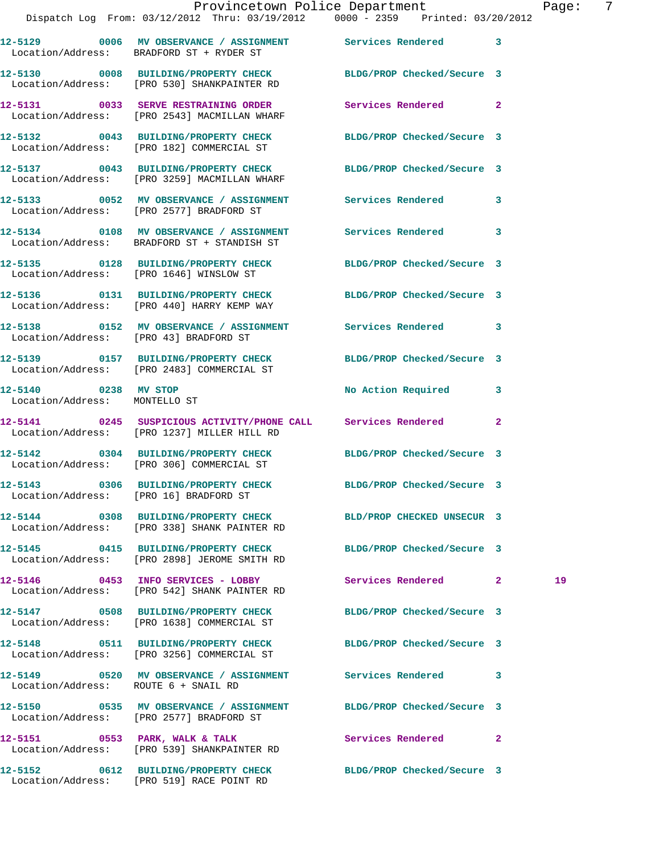|                                                       | 12-5129 0006 MV OBSERVANCE / ASSIGNMENT Services Rendered 3<br>Location/Address: BRADFORD ST + RYDER ST         |                            |              |    |
|-------------------------------------------------------|-----------------------------------------------------------------------------------------------------------------|----------------------------|--------------|----|
|                                                       | 12-5130 0008 BUILDING/PROPERTY CHECK<br>Location/Address: [PRO 530] SHANKPAINTER RD                             | BLDG/PROP Checked/Secure 3 |              |    |
|                                                       | 12-5131 0033 SERVE RESTRAINING ORDER<br>Location/Address: [PRO 2543] MACMILLAN WHARF                            | Services Rendered          | $\mathbf{2}$ |    |
|                                                       | 12-5132 0043 BUILDING/PROPERTY CHECK<br>Location/Address: [PRO 182] COMMERCIAL ST                               | BLDG/PROP Checked/Secure 3 |              |    |
|                                                       | 12-5137 0043 BUILDING/PROPERTY CHECK BLDG/PROP Checked/Secure 3<br>Location/Address: [PRO 3259] MACMILLAN WHARF |                            |              |    |
|                                                       | 12-5133 0052 MV OBSERVANCE / ASSIGNMENT Services Rendered 3<br>Location/Address: [PRO 2577] BRADFORD ST         |                            |              |    |
|                                                       | 12-5134 0108 MV OBSERVANCE / ASSIGNMENT Services Rendered<br>Location/Address: BRADFORD ST + STANDISH ST        |                            | 3            |    |
|                                                       | 12-5135 0128 BUILDING/PROPERTY CHECK BLDG/PROP Checked/Secure 3<br>Location/Address: [PRO 1646] WINSLOW ST      |                            |              |    |
|                                                       | 12-5136 0131 BUILDING/PROPERTY CHECK<br>Location/Address: [PRO 440] HARRY KEMP WAY                              | BLDG/PROP Checked/Secure 3 |              |    |
| Location/Address: [PRO 43] BRADFORD ST                | 12-5138 		 0152 MV OBSERVANCE / ASSIGNMENT Services Rendered 3                                                  |                            |              |    |
|                                                       | 12-5139 0157 BUILDING/PROPERTY CHECK<br>Location/Address: [PRO 2483] COMMERCIAL ST                              | BLDG/PROP Checked/Secure 3 |              |    |
| 12-5140 0238 MV STOP<br>Location/Address: MONTELLO ST |                                                                                                                 | No Action Required         | 3            |    |
|                                                       | 12-5141 0245 SUSPICIOUS ACTIVITY/PHONE CALL Services Rendered<br>Location/Address: [PRO 1237] MILLER HILL RD    |                            | $\mathbf{2}$ |    |
|                                                       | 12-5142 0304 BUILDING/PROPERTY CHECK<br>Location/Address: [PRO 306] COMMERCIAL ST                               | BLDG/PROP Checked/Secure 3 |              |    |
| Location/Address: [PRO 16] BRADFORD ST                | 12-5143 0306 BUILDING/PROPERTY CHECK                                                                            | BLDG/PROP Checked/Secure 3 |              |    |
|                                                       | 12-5144 0308 BUILDING/PROPERTY CHECK BLD/PROP CHECKED UNSECUR 3<br>Location/Address: [PRO 338] SHANK PAINTER RD |                            |              |    |
|                                                       | 12-5145 0415 BUILDING/PROPERTY CHECK BLDG/PROP Checked/Secure 3<br>Location/Address: [PRO 2898] JEROME SMITH RD |                            |              |    |
|                                                       | 12-5146 0453 INFO SERVICES - LOBBY<br>Location/Address: [PRO 542] SHANK PAINTER RD                              | Services Rendered 2        |              | 19 |
|                                                       | 12-5147 0508 BUILDING/PROPERTY CHECK<br>Location/Address: [PRO 1638] COMMERCIAL ST                              | BLDG/PROP Checked/Secure 3 |              |    |
|                                                       | 12-5148 0511 BUILDING/PROPERTY CHECK<br>Location/Address: [PRO 3256] COMMERCIAL ST                              | BLDG/PROP Checked/Secure 3 |              |    |
| Location/Address: ROUTE 6 + SNAIL RD                  | 12-5149 6520 MV OBSERVANCE / ASSIGNMENT Services Rendered                                                       |                            | 3            |    |
|                                                       | 12-5150 0535 MV OBSERVANCE / ASSIGNMENT BLDG/PROP Checked/Secure 3<br>Location/Address: [PRO 2577] BRADFORD ST  |                            |              |    |
|                                                       | 12-5151 0553 PARK, WALK & TALK<br>Location/Address: [PRO 539] SHANKPAINTER RD                                   | Services Rendered          | $\mathbf{2}$ |    |
|                                                       |                                                                                                                 |                            |              |    |

**12-5152 0612 BUILDING/PROPERTY CHECK BLDG/PROP Checked/Secure 3**  Location/Address: [PRO 519] RACE POINT RD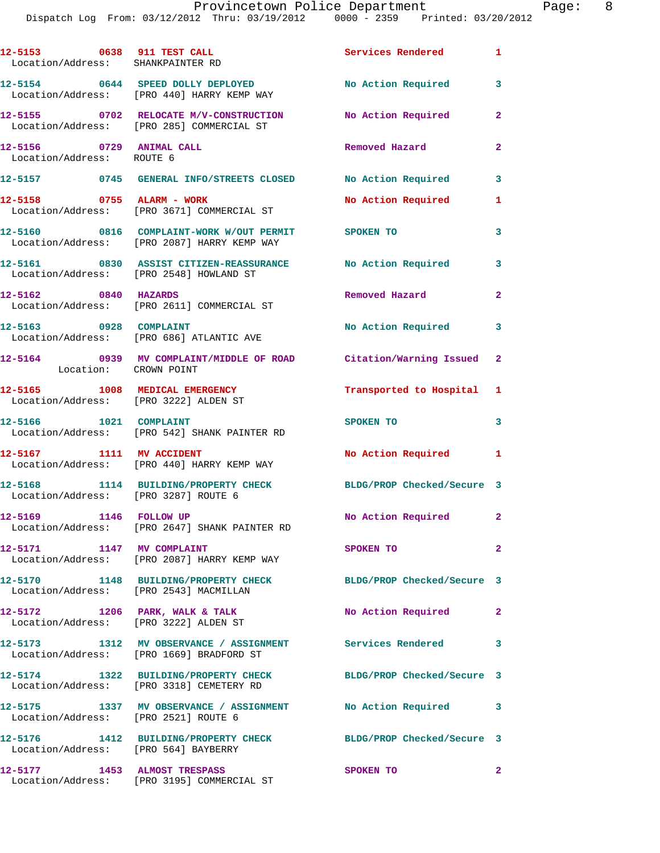| 12-5153 0638 911 TEST CALL<br>Location/Address: SHANKPAINTER RD         |                                                                                                             | Services Rendered 1        |                |
|-------------------------------------------------------------------------|-------------------------------------------------------------------------------------------------------------|----------------------------|----------------|
|                                                                         | 12-5154 0644 SPEED DOLLY DEPLOYED<br>Location/Address: [PRO 440] HARRY KEMP WAY                             | No Action Required         | 3              |
|                                                                         | 12-5155 0702 RELOCATE M/V-CONSTRUCTION<br>Location/Address: [PRO 285] COMMERCIAL ST                         | No Action Required         | $\overline{2}$ |
| 12-5156 0729 ANIMAL CALL<br>Location/Address: ROUTE 6                   |                                                                                                             | Removed Hazard             | $\mathbf{2}$   |
|                                                                         | 12-5157 0745 GENERAL INFO/STREETS CLOSED No Action Required                                                 |                            | $\mathbf{3}$   |
|                                                                         | 12-5158 0755 ALARM - WORK<br>Location/Address: [PRO 3671] COMMERCIAL ST                                     | No Action Required         | 1              |
|                                                                         | 12-5160 0816 COMPLAINT-WORK W/OUT PERMIT SPOKEN TO<br>Location/Address: [PRO 2087] HARRY KEMP WAY           |                            | 3              |
|                                                                         | 12-5161 0830 ASSIST CITIZEN-REASSURANCE No Action Required<br>Location/Address: [PRO 2548] HOWLAND ST       |                            | 3              |
| 12-5162 0840 HAZARDS                                                    | Location/Address: [PRO 2611] COMMERCIAL ST                                                                  | Removed Hazard             | $\overline{2}$ |
| 12-5163 0928 COMPLAINT                                                  | Location/Address: [PRO 686] ATLANTIC AVE                                                                    | No Action Required         | 3              |
| Location: CROWN POINT                                                   | 12-5164 0939 MV COMPLAINT/MIDDLE OF ROAD Citation/Warning Issued 2                                          |                            |                |
| 12-5165 1008 MEDICAL EMERGENCY<br>Location/Address: [PRO 3222] ALDEN ST |                                                                                                             | Transported to Hospital 1  |                |
| 12-5166 1021 COMPLAINT                                                  | Location/Address: [PRO 542] SHANK PAINTER RD                                                                | SPOKEN TO                  | 3              |
|                                                                         | 12-5167 1111 MV ACCIDENT<br>Location/Address: [PRO 440] HARRY KEMP WAY                                      | No Action Required 1       |                |
| Location/Address: [PRO 3287] ROUTE 6                                    | 12-5168 1114 BUILDING/PROPERTY CHECK                                                                        | BLDG/PROP Checked/Secure 3 |                |
| 12-5169 1146 FOLLOW UP                                                  | Location/Address: [PRO 2647] SHANK PAINTER RD                                                               | No Action Required         | $\mathbf{2}$   |
| 12-5171 1147 MV COMPLAINT                                               | Location/Address: [PRO 2087] HARRY KEMP WAY                                                                 | <b>SPOKEN TO</b>           | $\mathbf{2}$   |
| Location/Address: [PRO 2543] MACMILLAN                                  | 12-5170 1148 BUILDING/PROPERTY CHECK                                                                        | BLDG/PROP Checked/Secure 3 |                |
|                                                                         | 12-5172 1206 PARK, WALK & TALK<br>Location/Address: [PRO 3222] ALDEN ST                                     | No Action Required         | $\mathbf{2}$   |
|                                                                         | 12-5173 1312 MV OBSERVANCE / ASSIGNMENT Services Rendered<br>Location/Address: [PRO 1669] BRADFORD ST       |                            | 3              |
|                                                                         | 12-5174 1322 BUILDING/PROPERTY CHECK BLDG/PROP Checked/Secure 3<br>Location/Address: [PRO 3318] CEMETERY RD |                            |                |
|                                                                         | 12-5175   1337 MV OBSERVANCE / ASSIGNMENT   No Action Required<br>Location/Address: [PRO 2521] ROUTE 6      |                            | 3              |
| Location/Address: [PRO 564] BAYBERRY                                    | 12-5176 1412 BUILDING/PROPERTY CHECK                                                                        | BLDG/PROP Checked/Secure 3 |                |
|                                                                         | 12-5177 1453 ALMOST TRESPASS<br>Location/Address: [PRO 3195] COMMERCIAL ST                                  | SPOKEN TO                  | $\mathbf{2}$   |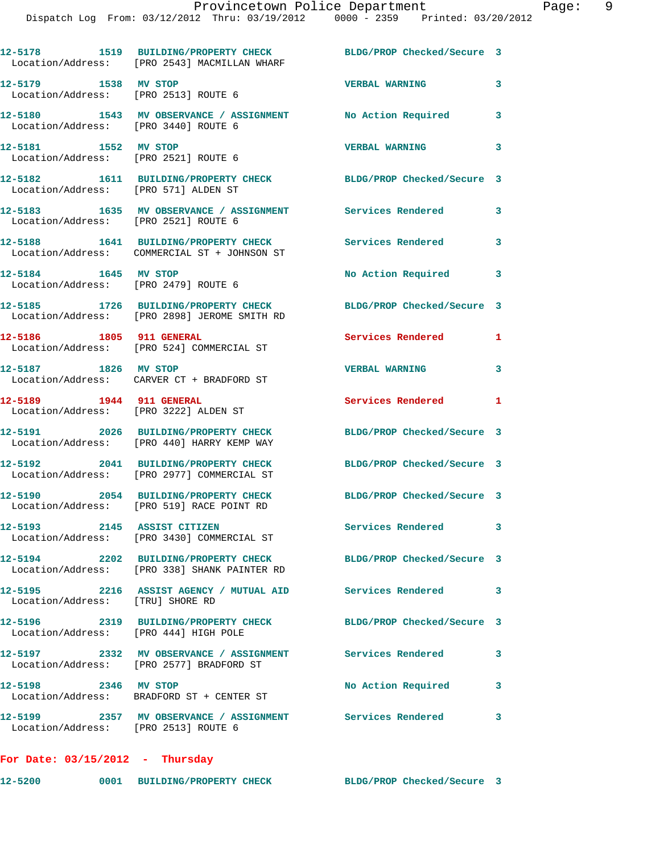|                                                              | 12-5178 1519 BUILDING/PROPERTY CHECK<br>Location/Address: [PRO 2543] MACMILLAN WHARF                     | BLDG/PROP Checked/Secure 3 |   |
|--------------------------------------------------------------|----------------------------------------------------------------------------------------------------------|----------------------------|---|
| 12-5179 1538 MV STOP<br>Location/Address: [PRO 2513] ROUTE 6 |                                                                                                          | <b>VERBAL WARNING</b>      | 3 |
| Location/Address: [PRO 3440] ROUTE 6                         | 12-5180 1543 MV OBSERVANCE / ASSIGNMENT No Action Required                                               |                            | 3 |
| 12-5181 1552 MV STOP<br>Location/Address: [PRO 2521] ROUTE 6 |                                                                                                          | <b>VERBAL WARNING</b>      | 3 |
| Location/Address: [PRO 571] ALDEN ST                         | 12-5182 1611 BUILDING/PROPERTY CHECK BLDG/PROP Checked/Secure 3                                          |                            |   |
| Location/Address: [PRO 2521] ROUTE 6                         | 12-5183 1635 MV OBSERVANCE / ASSIGNMENT Services Rendered                                                |                            | 3 |
|                                                              | 12-5188 1641 BUILDING/PROPERTY CHECK<br>Location/Address: COMMERCIAL ST + JOHNSON ST                     | <b>Services Rendered</b>   | 3 |
| 12-5184 1645 MV STOP<br>Location/Address: [PRO 2479] ROUTE 6 |                                                                                                          | No Action Required         | 3 |
|                                                              | 12-5185 1726 BUILDING/PROPERTY CHECK<br>Location/Address: [PRO 2898] JEROME SMITH RD                     | BLDG/PROP Checked/Secure 3 |   |
| 12-5186 1805 911 GENERAL                                     | Location/Address: [PRO 524] COMMERCIAL ST                                                                | Services Rendered          | 1 |
| 12-5187 1826 MV STOP                                         | Location/Address: CARVER CT + BRADFORD ST                                                                | <b>VERBAL WARNING</b>      | 3 |
| 12-5189 1944 911 GENERAL                                     |                                                                                                          | Services Rendered 1        |   |
| Location/Address: [PRO 3222] ALDEN ST                        |                                                                                                          |                            |   |
|                                                              | 12-5191 2026 BUILDING/PROPERTY CHECK<br>Location/Address: [PRO 440] HARRY KEMP WAY                       | BLDG/PROP Checked/Secure 3 |   |
|                                                              | 12-5192 2041 BUILDING/PROPERTY CHECK<br>Location/Address: [PRO 2977] COMMERCIAL ST                       | BLDG/PROP Checked/Secure 3 |   |
|                                                              | 12-5190 2054 BUILDING/PROPERTY CHECK<br>Location/Address: [PRO 519] RACE POINT RD                        | BLDG/PROP Checked/Secure 3 |   |
|                                                              | 12-5193 2145 ASSIST CITIZEN<br>Location/Address: [PRO 3430] COMMERCIAL ST                                | Services Rendered 3        |   |
|                                                              | 12-5194 2202 BUILDING/PROPERTY CHECK<br>Location/Address: [PRO 338] SHANK PAINTER RD                     | BLDG/PROP Checked/Secure 3 |   |
| Location/Address: [TRU] SHORE RD                             | 12-5195 2216 ASSIST AGENCY / MUTUAL AID Services Rendered                                                |                            | 3 |
| Location/Address: [PRO 444] HIGH POLE                        | 12-5196 2319 BUILDING/PROPERTY CHECK                                                                     | BLDG/PROP Checked/Secure 3 |   |
|                                                              | 12-5197 		 2332 MV OBSERVANCE / ASSIGNMENT Services Rendered<br>Location/Address: [PRO 2577] BRADFORD ST |                            | 3 |
| 12-5198 2346 MV STOP                                         | Location/Address: BRADFORD ST + CENTER ST                                                                | No Action Required         | 3 |
| Location/Address: [PRO 2513] ROUTE 6                         | 12-5199 2357 MV OBSERVANCE / ASSIGNMENT Services Rendered                                                |                            | 3 |

**For Date: 03/15/2012 - Thursday**

**12-5200 0001 BUILDING/PROPERTY CHECK BLDG/PROP Checked/Secure 3**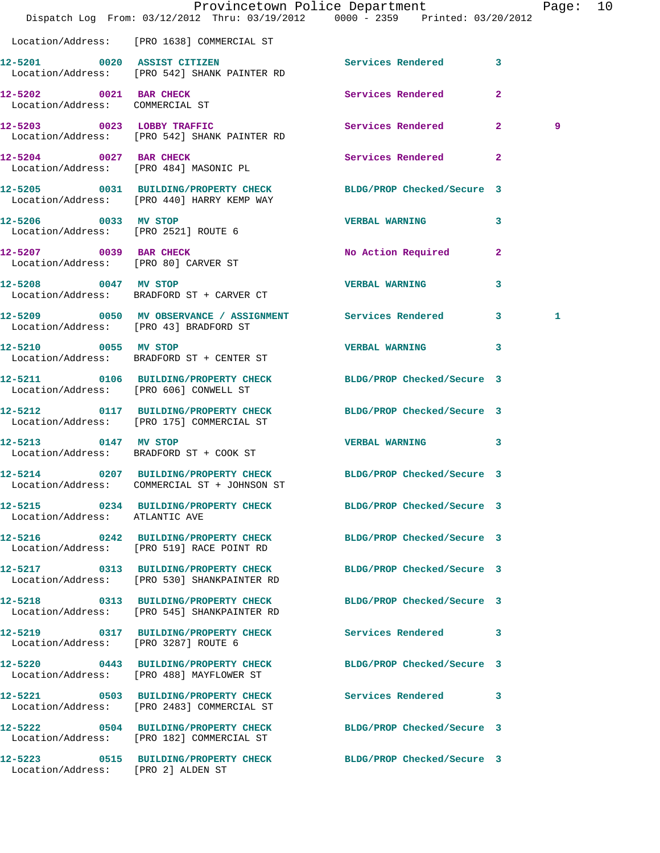|                                                              | Dispatch Log From: 03/12/2012 Thru: 03/19/2012 0000 - 2359 Printed: 03/20/2012                                | Provincetown Police Department |              | Page: 10 |  |
|--------------------------------------------------------------|---------------------------------------------------------------------------------------------------------------|--------------------------------|--------------|----------|--|
|                                                              | Location/Address: [PRO 1638] COMMERCIAL ST                                                                    |                                |              |          |  |
|                                                              | 12-5201 0020 ASSIST CITIZEN<br>Location/Address: [PRO 542] SHANK PAINTER RD                                   | Services Rendered 3            |              |          |  |
| 12-5202 0021 BAR CHECK<br>Location/Address: COMMERCIAL ST    |                                                                                                               | Services Rendered              | $\mathbf{2}$ |          |  |
|                                                              | 12-5203 0023 LOBBY TRAFFIC<br>Location/Address: [PRO 542] SHANK PAINTER RD                                    | Services Rendered 2            |              | 9        |  |
|                                                              | 12-5204 0027 BAR CHECK<br>Location/Address: [PRO 484] MASONIC PL                                              | Services Rendered 2            |              |          |  |
|                                                              | 12-5205 0031 BUILDING/PROPERTY CHECK BLDG/PROP Checked/Secure 3<br>Location/Address: [PRO 440] HARRY KEMP WAY |                                |              |          |  |
| 12-5206 0033 MV STOP<br>Location/Address: [PRO 2521] ROUTE 6 |                                                                                                               | <b>VERBAL WARNING</b>          | 3            |          |  |
| Location/Address: [PRO 80] CARVER ST                         | 12-5207 0039 BAR CHECK                                                                                        | No Action Required             | $\mathbf{2}$ |          |  |
| 12-5208 0047 MV STOP                                         | Location/Address: BRADFORD ST + CARVER CT                                                                     | <b>VERBAL WARNING</b>          | $\mathbf{3}$ |          |  |
| Location/Address: [PRO 43] BRADFORD ST                       | 12-5209 0050 MV OBSERVANCE / ASSIGNMENT Services Rendered 3                                                   |                                |              | 1        |  |
| 12-5210 0055 MV STOP                                         | Location/Address: BRADFORD ST + CENTER ST                                                                     | VERBAL WARNING 3               |              |          |  |
| Location/Address: [PRO 606] CONWELL ST                       | 12-5211 0106 BUILDING/PROPERTY CHECK BLDG/PROP Checked/Secure 3                                               |                                |              |          |  |
|                                                              | 12-5212 0117 BUILDING/PROPERTY CHECK BLDG/PROP Checked/Secure 3<br>Location/Address: [PRO 175] COMMERCIAL ST  |                                |              |          |  |
| 12-5213 0147 MV STOP                                         | Location/Address: BRADFORD ST + COOK ST                                                                       | VERBAL WARNING 3               |              |          |  |
| 12-5214                                                      | 0207 BUILDING/PROPERTY CHECK<br>Location/Address: COMMERCIAL ST + JOHNSON ST                                  | BLDG/PROP Checked/Secure 3     |              |          |  |
| Location/Address: ATLANTIC AVE                               | 12-5215 0234 BUILDING/PROPERTY CHECK BLDG/PROP Checked/Secure 3                                               |                                |              |          |  |
|                                                              | 12-5216 0242 BUILDING/PROPERTY CHECK<br>Location/Address: [PRO 519] RACE POINT RD                             | BLDG/PROP Checked/Secure 3     |              |          |  |
|                                                              | 12-5217 0313 BUILDING/PROPERTY CHECK<br>Location/Address: [PRO 530] SHANKPAINTER RD                           | BLDG/PROP Checked/Secure 3     |              |          |  |
|                                                              | 12-5218 0313 BUILDING/PROPERTY CHECK<br>Location/Address: [PRO 545] SHANKPAINTER RD                           | BLDG/PROP Checked/Secure 3     |              |          |  |
| Location/Address: [PRO 3287] ROUTE 6                         | 12-5219 0317 BUILDING/PROPERTY CHECK Services Rendered 3                                                      |                                |              |          |  |
|                                                              | 12-5220 0443 BUILDING/PROPERTY CHECK BLDG/PROP Checked/Secure 3<br>Location/Address: [PRO 488] MAYFLOWER ST   |                                |              |          |  |
|                                                              | 12-5221 0503 BUILDING/PROPERTY CHECK<br>Location/Address: [PRO 2483] COMMERCIAL ST                            | Services Rendered 3            |              |          |  |
|                                                              | 12-5222 0504 BUILDING/PROPERTY CHECK BLDG/PROP Checked/Secure 3<br>Location/Address: [PRO 182] COMMERCIAL ST  |                                |              |          |  |
| Location/Address: [PRO 2] ALDEN ST                           | 12-5223 0515 BUILDING/PROPERTY CHECK BLDG/PROP Checked/Secure 3                                               |                                |              |          |  |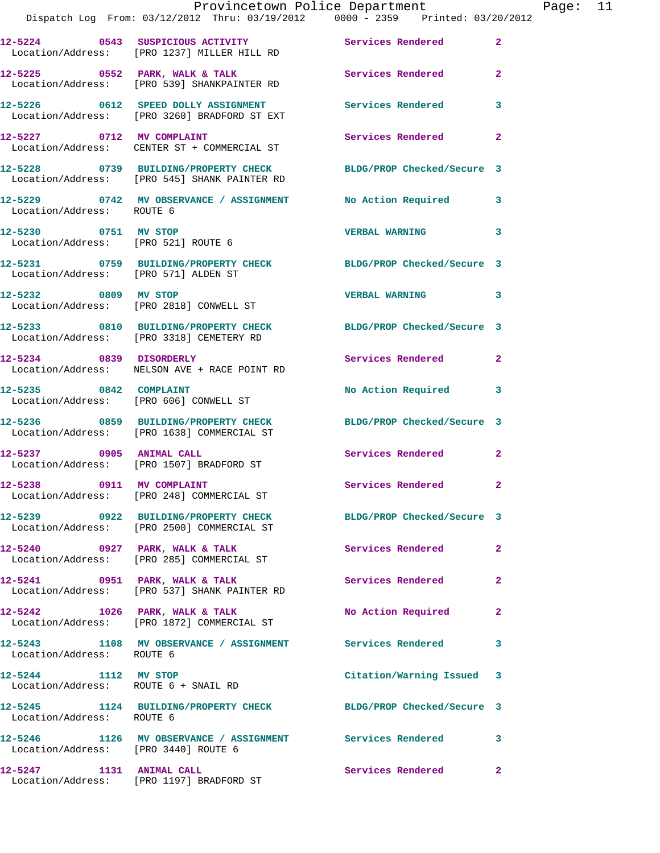|                                                              | Provincetown Police Department<br>Dispatch Log From: 03/12/2012 Thru: 03/19/2012 0000 - 2359 Printed: 03/20/2012 |                            |                |
|--------------------------------------------------------------|------------------------------------------------------------------------------------------------------------------|----------------------------|----------------|
|                                                              |                                                                                                                  |                            |                |
|                                                              | 12-5224 0543 SUSPICIOUS ACTIVITY Services Rendered<br>Location/Address: [PRO 1237] MILLER HILL RD                |                            | $\mathbf{2}$   |
|                                                              | 12-5225 0552 PARK, WALK & TALK 3 Services Rendered<br>Location/Address: [PRO 539] SHANKPAINTER RD                |                            | $\mathbf{2}$   |
|                                                              | 12-5226 0612 SPEED DOLLY ASSIGNMENT<br>Location/Address: [PRO 3260] BRADFORD ST EXT                              | <b>Services Rendered</b>   | 3              |
| 12-5227 0712 MV COMPLAINT                                    | Location/Address: CENTER ST + COMMERCIAL ST                                                                      | Services Rendered          | $\mathbf{2}$   |
|                                                              | 12-5228 0739 BUILDING/PROPERTY CHECK<br>Location/Address: [PRO 545] SHANK PAINTER RD                             | BLDG/PROP Checked/Secure 3 |                |
| Location/Address: ROUTE 6                                    | 12-5229 0742 MV OBSERVANCE / ASSIGNMENT No Action Required                                                       |                            | 3              |
| 12-5230 0751 MV STOP                                         | Location/Address: [PRO 521] ROUTE 6                                                                              | <b>VERBAL WARNING</b>      | 3              |
| Location/Address: [PRO 571] ALDEN ST                         | 12-5231 0759 BUILDING/PROPERTY CHECK BLDG/PROP Checked/Secure 3                                                  |                            |                |
| 12-5232 0809 MV STOP                                         | Location/Address: [PRO 2818] CONWELL ST                                                                          | <b>VERBAL WARNING</b>      | 3              |
|                                                              | 12-5233 0810 BUILDING/PROPERTY CHECK<br>Location/Address: [PRO 3318] CEMETERY RD                                 | BLDG/PROP Checked/Secure 3 |                |
| 12-5234 0839 DISORDERLY                                      | Location/Address: NELSON AVE + RACE POINT RD                                                                     | <b>Services Rendered</b>   | $\mathbf{2}$   |
| 12-5235 0842 COMPLAINT                                       | Location/Address: [PRO 606] CONWELL ST                                                                           | No Action Required         | 3              |
|                                                              | 12-5236 0859 BUILDING/PROPERTY CHECK BLDG/PROP Checked/Secure 3<br>Location/Address: [PRO 1638] COMMERCIAL ST    |                            |                |
|                                                              | 12-5237 0905 ANIMAL CALL<br>Location/Address: [PRO 1507] BRADFORD ST                                             | Services Rendered          | $\mathbf{2}$   |
| 12-5238 0911 MV COMPLAINT                                    | Location/Address: [PRO 248] COMMERCIAL ST                                                                        | <b>Services Rendered</b>   |                |
|                                                              | 12-5239 0922 BUILDING/PROPERTY CHECK<br>Location/Address: [PRO 2500] COMMERCIAL ST                               | BLDG/PROP Checked/Secure 3 |                |
| $12-5240$ 0927 PARK, WALK & TALK                             | Location/Address: [PRO 285] COMMERCIAL ST                                                                        | Services Rendered          | $\overline{a}$ |
|                                                              | 12-5241 0951 PARK, WALK & TALK<br>Location/Address: [PRO 537] SHANK PAINTER RD                                   | <b>Services Rendered</b>   | 2              |
| 12-5242 1026 PARK, WALK & TALK                               | Location/Address: [PRO 1872] COMMERCIAL ST                                                                       | No Action Required         | $\mathbf{2}$   |
| Location/Address: ROUTE 6                                    | 12-5243 1108 MV OBSERVANCE / ASSIGNMENT Services Rendered                                                        |                            | 3              |
| 12-5244 1112 MV STOP<br>Location/Address: ROUTE 6 + SNAIL RD |                                                                                                                  | Citation/Warning Issued    | 3              |
| Location/Address: ROUTE 6                                    | 12-5245 1124 BUILDING/PROPERTY CHECK BLDG/PROP Checked/Secure 3                                                  |                            |                |
| Location/Address: [PRO 3440] ROUTE 6                         | 12-5246 1126 MV OBSERVANCE / ASSIGNMENT Services Rendered                                                        |                            | 3              |
|                                                              |                                                                                                                  | <b>Services Rendered</b>   | $\overline{2}$ |

Location/Address: [PRO 1197] BRADFORD ST

Page:  $11$ <br>2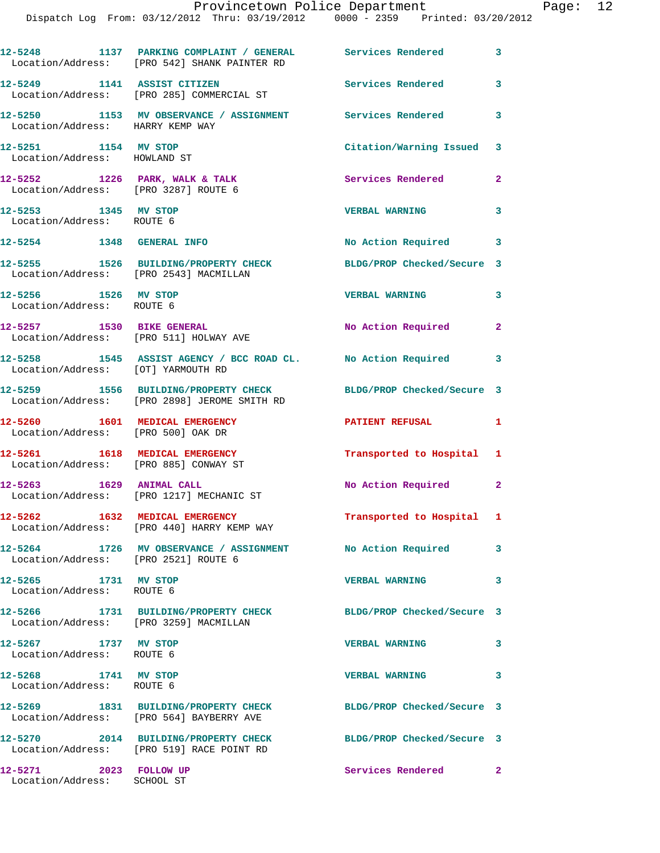|                                                                          | 12-5248 1137 PARKING COMPLAINT / GENERAL Services Rendered 3<br>Location/Address: [PRO 542] SHANK PAINTER RD |                            |              |
|--------------------------------------------------------------------------|--------------------------------------------------------------------------------------------------------------|----------------------------|--------------|
|                                                                          | 12-5249 1141 ASSIST CITIZEN<br>Location/Address: [PRO 285] COMMERCIAL ST                                     | <b>Services Rendered</b>   | $\mathbf{3}$ |
| Location/Address: HARRY KEMP WAY                                         | 12-5250 1153 MV OBSERVANCE / ASSIGNMENT Services Rendered 3                                                  |                            |              |
| 12-5251 1154 MV STOP<br>Location/Address: HOWLAND ST                     |                                                                                                              | Citation/Warning Issued 3  |              |
| $12-5252$ 1226 PARK, WALK & TALK<br>Location/Address: [PRO 3287] ROUTE 6 |                                                                                                              | Services Rendered          | $\mathbf{2}$ |
| 12-5253 1345 MV STOP<br>Location/Address: ROUTE 6                        |                                                                                                              | <b>VERBAL WARNING</b>      | 3            |
| 12-5254 1348 GENERAL INFO                                                |                                                                                                              | No Action Required 3       |              |
| Location/Address: [PRO 2543] MACMILLAN                                   | 12-5255 1526 BUILDING/PROPERTY CHECK                                                                         | BLDG/PROP Checked/Secure 3 |              |
| 12-5256 1526 MV STOP<br>Location/Address: ROUTE 6                        |                                                                                                              | <b>VERBAL WARNING</b>      | $\mathbf{3}$ |
| Location/Address: [PRO 511] HOLWAY AVE                                   | 12-5257 1530 BIKE GENERAL                                                                                    | No Action Required         | $\mathbf{2}$ |
| Location/Address: [OT] YARMOUTH RD                                       | 12-5258 1545 ASSIST AGENCY / BCC ROAD CL. No Action Required 3                                               |                            |              |
|                                                                          | 12-5259 1556 BUILDING/PROPERTY CHECK<br>Location/Address: [PRO 2898] JEROME SMITH RD                         | BLDG/PROP Checked/Secure 3 |              |
| 12-5260 1601 MEDICAL EMERGENCY<br>Location/Address: [PRO 500] OAK DR     |                                                                                                              | <b>PATIENT REFUSAL</b>     | 1            |
| 12-5261 1618 MEDICAL EMERGENCY<br>Location/Address: [PRO 885] CONWAY ST  |                                                                                                              | Transported to Hospital 1  |              |
| 12-5263 1629 ANIMAL CALL                                                 | Location/Address: [PRO 1217] MECHANIC ST                                                                     | No Action Required 2       |              |
|                                                                          | 12-5262 1632 MEDICAL EMERGENCY<br>Location/Address: [PRO 440] HARRY KEMP WAY                                 | Transported to Hospital 1  |              |
| Location/Address: [PRO 2521] ROUTE 6                                     | 12-5264 1726 MV OBSERVANCE / ASSIGNMENT No Action Required                                                   |                            | $\mathbf{3}$ |
| 12-5265 1731 MV STOP<br>Location/Address: ROUTE 6                        |                                                                                                              | <b>VERBAL WARNING</b>      | 3            |
| Location/Address: [PRO 3259] MACMILLAN                                   | 12-5266 1731 BUILDING/PROPERTY CHECK BLDG/PROP Checked/Secure 3                                              |                            |              |
| 12-5267 1737 MV STOP<br>Location/Address: ROUTE 6                        |                                                                                                              | <b>VERBAL WARNING</b>      | 3            |
| 12-5268 1741 MV STOP<br>Location/Address: ROUTE 6                        |                                                                                                              | <b>VERBAL WARNING</b>      | $\mathbf{3}$ |
|                                                                          | 12-5269 1831 BUILDING/PROPERTY CHECK<br>Location/Address: [PRO 564] BAYBERRY AVE                             | BLDG/PROP Checked/Secure 3 |              |
|                                                                          | 12-5270 2014 BUILDING/PROPERTY CHECK<br>Location/Address: [PRO 519] RACE POINT RD                            | BLDG/PROP Checked/Secure 3 |              |
| 12-5271 2023 FOLLOW UP<br>Location/Address: SCHOOL ST                    |                                                                                                              | Services Rendered 2        |              |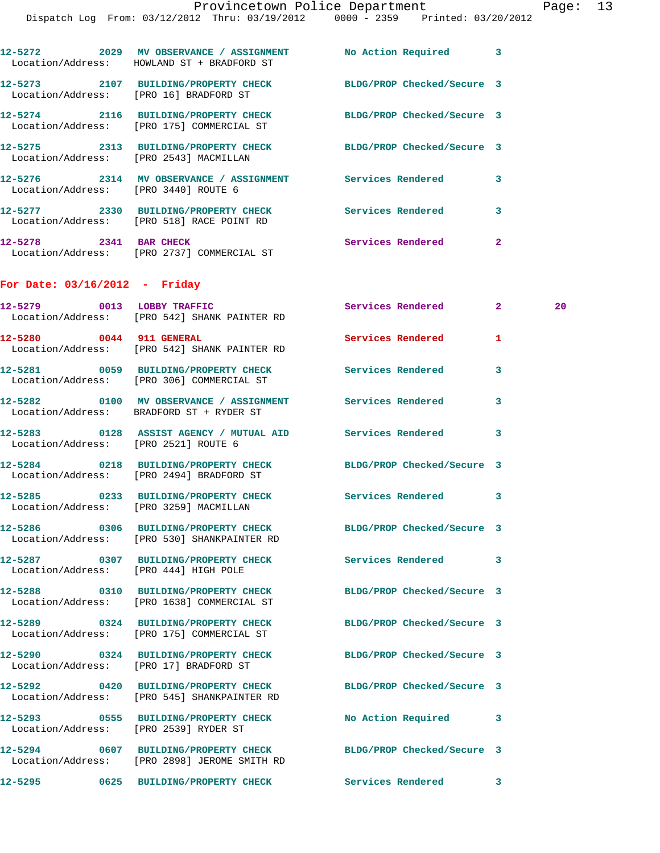|                                      | Dispatch Log From: 03/12/2012 Thru: 03/19/2012 0000 - 2359 Printed: 03/20/2012                               |                          |              |
|--------------------------------------|--------------------------------------------------------------------------------------------------------------|--------------------------|--------------|
|                                      | 12-5272 2029 MV OBSERVANCE / ASSIGNMENT No Action Required 3<br>Location/Address: HOWLAND ST + BRADFORD ST   |                          |              |
|                                      | 12-5273 2107 BUILDING/PROPERTY CHECK BLDG/PROP Checked/Secure 3<br>Location/Address: [PRO 16] BRADFORD ST    |                          |              |
|                                      | 12-5274 2116 BUILDING/PROPERTY CHECK BLDG/PROP Checked/Secure 3<br>Location/Address: [PRO 175] COMMERCIAL ST |                          |              |
|                                      | 12-5275 2313 BUILDING/PROPERTY CHECK BLDG/PROP Checked/Secure 3<br>Location/Address: [PRO 2543] MACMILLAN    |                          |              |
| Location/Address: [PRO 3440] ROUTE 6 | 12-5276 2314 MV OBSERVANCE / ASSIGNMENT Services Rendered                                                    |                          | 3            |
|                                      | 12-5277 2330 BUILDING/PROPERTY CHECK Services Rendered<br>Location/Address: [PRO 518] RACE POINT RD          |                          | 3            |
|                                      | 12-5278 2341 BAR CHECK<br>Location/Address: [PRO 2737] COMMERCIAL ST                                         | <b>Services Rendered</b> | $\mathbf{2}$ |
| For Date: $03/16/2012$ - Friday      |                                                                                                              |                          |              |
|                                      | 12-5279 0013 LOBBY TRAFFIC<br>Location/Address: [PRO 542] SHANK PAINTER RD                                   | Services Rendered 2      | 20           |
|                                      | 12-5280 0044 911 GENERAL<br>Location/Address: [PRO 542] SHANK PAINTER RD                                     | Services Rendered        | $\mathbf{1}$ |
|                                      | 12-5281 0059 BUILDING/PROPERTY CHECK Services Rendered<br>Location/Address: [PRO 306] COMMERCIAL ST          |                          | 3            |
|                                      | 12-5282 0100 MV OBSERVANCE / ASSIGNMENT Services Rendered<br>Location/Address: BRADFORD ST + RYDER ST        |                          | 3            |
| Location/Address: [PRO 2521] ROUTE 6 | 12-5283 0128 ASSIST AGENCY / MUTUAL AID Services Rendered                                                    |                          | 3            |
|                                      | 12-5284 0218 BUILDING/PROPERTY CHECK BLDG/PROP Checked/Secure 3<br>Location/Address: [PRO 2494] BRADFORD ST  |                          |              |

**12-5285 0233 BUILDING/PROPERTY CHECK Services Rendered 3**  Location/Address: [PRO 3259] MACMILLAN

**12-5286 0306 BUILDING/PROPERTY CHECK BLDG/PROP Checked/Secure 3**  Location/Address: [PRO 530] SHANKPAINTER RD

**12-5287 0307 BUILDING/PROPERTY CHECK Services Rendered 3**  Location/Address: [PRO 444] HIGH POLE

**12-5288 0310 BUILDING/PROPERTY CHECK BLDG/PROP Checked/Secure 3**  Location/Address: [PRO 1638] COMMERCIAL ST

**12-5289 0324 BUILDING/PROPERTY CHECK BLDG/PROP Checked/Secure 3** 

**12-5293 0555 BUILDING/PROPERTY CHECK No Action Required 3** 

 Location/Address: [PRO 175] COMMERCIAL ST **12-5290 0324 BUILDING/PROPERTY CHECK BLDG/PROP Checked/Secure 3**  Location/Address: [PRO 17] BRADFORD ST **12-5292 0420 BUILDING/PROPERTY CHECK BLDG/PROP Checked/Secure 3**  Location/Address: [PRO 545] SHANKPAINTER RD

Location/Address: [PRO 2539] RYDER ST

**12-5294 0607 BUILDING/PROPERTY CHECK BLDG/PROP Checked/Secure 3**  Location/Address: [PRO 2898] JEROME SMITH RD

**12-5295 0625 BUILDING/PROPERTY CHECK Services Rendered 3**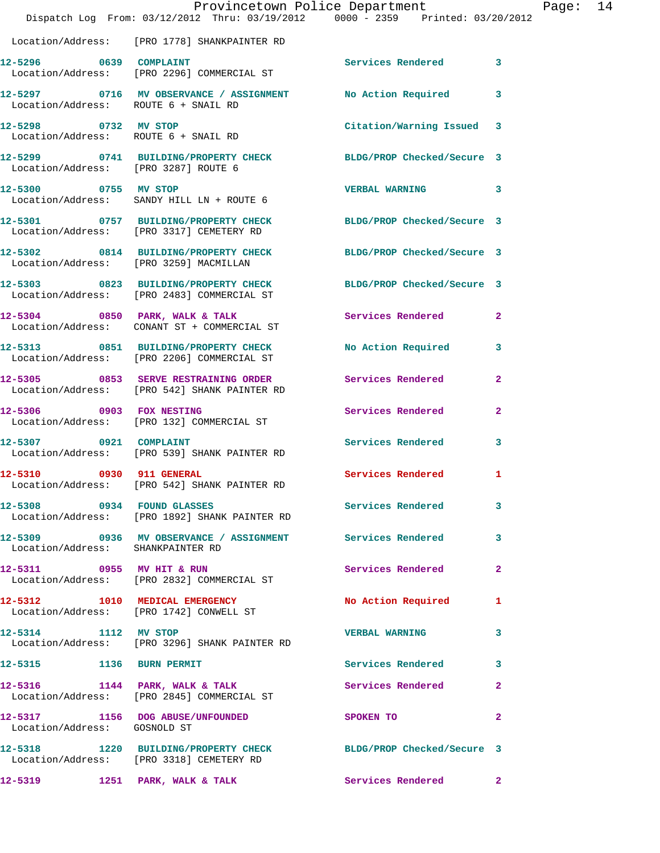|                                        | Dispatch Log From: 03/12/2012 Thru: 03/19/2012 0000 - 2359 Printed: 03/20/2012                                | Provincetown Police Department |              | Page: 14 |  |
|----------------------------------------|---------------------------------------------------------------------------------------------------------------|--------------------------------|--------------|----------|--|
|                                        | Location/Address: [PRO 1778] SHANKPAINTER RD                                                                  |                                |              |          |  |
|                                        | 12-5296 0639 COMPLAINT<br>Location/Address: [PRO 2296] COMMERCIAL ST                                          | Services Rendered 3            |              |          |  |
| Location/Address: ROUTE 6 + SNAIL RD   | 12-5297 0716 MV OBSERVANCE / ASSIGNMENT No Action Required 3                                                  |                                |              |          |  |
| 12-5298 0732 MV STOP                   | Location/Address: ROUTE 6 + SNAIL RD                                                                          | Citation/Warning Issued 3      |              |          |  |
| Location/Address: [PRO 3287] ROUTE 6   | 12-5299 0741 BUILDING/PROPERTY CHECK BLDG/PROP Checked/Secure 3                                               |                                |              |          |  |
| 12-5300 0755 MV STOP                   | Location/Address: SANDY HILL LN + ROUTE 6                                                                     | VERBAL WARNING 3               |              |          |  |
|                                        | 12-5301 0757 BUILDING/PROPERTY CHECK BLDG/PROP Checked/Secure 3<br>Location/Address: [PRO 3317] CEMETERY RD   |                                |              |          |  |
| Location/Address: [PRO 3259] MACMILLAN | 12-5302 0814 BUILDING/PROPERTY CHECK BLDG/PROP Checked/Secure 3                                               |                                |              |          |  |
|                                        | 12-5303 0823 BUILDING/PROPERTY CHECK BLDG/PROP Checked/Secure 3<br>Location/Address: [PRO 2483] COMMERCIAL ST |                                |              |          |  |
|                                        | 12-5304 0850 PARK, WALK & TALK 6 Services Rendered 2<br>Location/Address: CONANT ST + COMMERCIAL ST           |                                |              |          |  |
|                                        | 12-5313 0851 BUILDING/PROPERTY CHECK<br>Location/Address: [PRO 2206] COMMERCIAL ST                            | No Action Required             | 3            |          |  |
|                                        | 12-5305 0853 SERVE RESTRAINING ORDER Services Rendered<br>Location/Address: [PRO 542] SHANK PAINTER RD        |                                | $\mathbf{2}$ |          |  |
|                                        | 12-5306 0903 FOX NESTING<br>Location/Address: [PRO 132] COMMERCIAL ST                                         | Services Rendered              | $\mathbf{2}$ |          |  |
| 12-5307 0921 COMPLAINT                 | Location/Address: [PRO 539] SHANK PAINTER RD                                                                  | Services Rendered              | 3            |          |  |
| 12-5310 0930 911 GENERAL               | Location/Address: [PRO 542] SHANK PAINTER RD                                                                  | Services Rendered 1            |              |          |  |
| 12-5308 0934 FOUND GLASSES             | Location/Address: [PRO 1892] SHANK PAINTER RD                                                                 | Services Rendered 3            |              |          |  |
| Location/Address: SHANKPAINTER RD      | 12-5309 0936 MV OBSERVANCE / ASSIGNMENT Services Rendered                                                     |                                | 3            |          |  |
|                                        | 12-5311 0955 MV HIT & RUN<br>Location/Address: [PRO 2832] COMMERCIAL ST                                       | Services Rendered 2            |              |          |  |
|                                        | 12-5312 1010 MEDICAL EMERGENCY<br>Location/Address: [PRO 1742] CONWELL ST                                     | No Action Required 1           |              |          |  |
| 12-5314 1112 MV STOP                   | Location/Address: [PRO 3296] SHANK PAINTER RD                                                                 | <b>VERBAL WARNING</b>          | 3            |          |  |
| 12-5315 1136 BURN PERMIT               |                                                                                                               | Services Rendered 3            |              |          |  |
|                                        | 12-5316 1144 PARK, WALK & TALK<br>Location/Address: [PRO 2845] COMMERCIAL ST                                  | Services Rendered              | $\mathbf{2}$ |          |  |
| Location/Address: GOSNOLD ST           | 12-5317 1156 DOG ABUSE/UNFOUNDED                                                                              | SPOKEN TO                      | $\mathbf{2}$ |          |  |
|                                        | 12-5318 1220 BUILDING/PROPERTY CHECK BLDG/PROP Checked/Secure 3<br>Location/Address: [PRO 3318] CEMETERY RD   |                                |              |          |  |
|                                        |                                                                                                               |                                |              |          |  |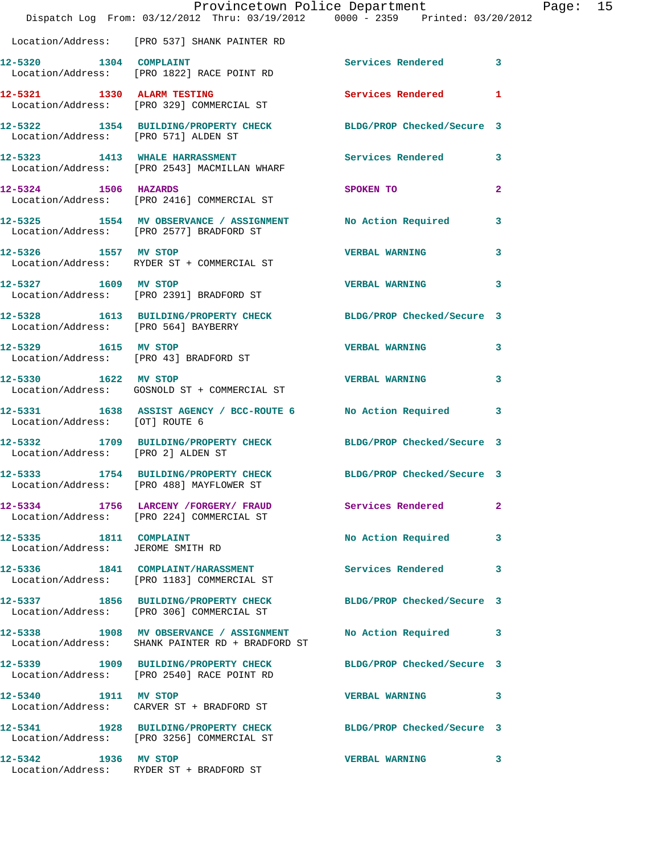|                                                             |                                                                                                               | Provincetown Police Department | $\mathbf P$    |
|-------------------------------------------------------------|---------------------------------------------------------------------------------------------------------------|--------------------------------|----------------|
|                                                             | Dispatch Log From: 03/12/2012 Thru: 03/19/2012 0000 - 2359 Printed: 03/20/2012                                |                                |                |
|                                                             | Location/Address: [PRO 537] SHANK PAINTER RD                                                                  |                                |                |
| 12-5320 1304 COMPLAINT                                      | Location/Address: [PRO 1822] RACE POINT RD                                                                    | Services Rendered              | 3              |
|                                                             | 12-5321 1330 ALARM TESTING<br>Location/Address: [PRO 329] COMMERCIAL ST                                       | <b>Services Rendered</b>       | 1              |
| Location/Address: [PRO 571] ALDEN ST                        | 12-5322 1354 BUILDING/PROPERTY CHECK BLDG/PROP Checked/Secure 3                                               |                                |                |
|                                                             | 12-5323 1413 WHALE HARRASSMENT<br>Location/Address: [PRO 2543] MACMILLAN WHARF                                | Services Rendered              | 3              |
|                                                             | 12-5324 1506 HAZARDS<br>Location/Address: [PRO 2416] COMMERCIAL ST                                            | SPOKEN TO                      | $\overline{a}$ |
|                                                             | 12-5325 1554 MV OBSERVANCE / ASSIGNMENT No Action Required<br>Location/Address: [PRO 2577] BRADFORD ST        |                                | 3              |
| 12-5326 1557 MV STOP                                        | Location/Address: RYDER ST + COMMERCIAL ST                                                                    | <b>VERBAL WARNING</b>          | 3              |
| 12-5327 1609 MV STOP                                        | Location/Address: [PRO 2391] BRADFORD ST                                                                      | <b>VERBAL WARNING</b>          | 3              |
| Location/Address: [PRO 564] BAYBERRY                        | 12-5328 1613 BUILDING/PROPERTY CHECK BLDG/PROP Checked/Secure 3                                               |                                |                |
| 12-5329 1615 MV STOP                                        | Location/Address: [PRO 43] BRADFORD ST                                                                        | <b>VERBAL WARNING</b>          | 3              |
| 12-5330 1622 MV STOP                                        | Location/Address: GOSNOLD ST + COMMERCIAL ST                                                                  | <b>VERBAL WARNING</b>          | 3              |
| Location/Address: [OT] ROUTE 6                              | 12-5331 1638 ASSIST AGENCY / BCC-ROUTE 6 No Action Required                                                   |                                | 3              |
| Location/Address: [PRO 2] ALDEN ST                          | 12-5332 1709 BUILDING/PROPERTY CHECK BLDG/PROP Checked/Secure 3                                               |                                |                |
| 12-5333                                                     | 1754 BUILDING/PROPERTY CHECK BLDG/PROP Checked/Secure 3<br>Location/Address: [PRO 488] MAYFLOWER ST           |                                |                |
|                                                             | 12-5334 1756 LARCENY /FORGERY FRAUD Services Rendered<br>Location/Address: [PRO 224] COMMERCIAL ST            |                                | 2              |
| 12-5335 1811 COMPLAINT<br>Location/Address: JEROME SMITH RD |                                                                                                               | No Action Required             | 3              |
|                                                             | 12-5336 1841 COMPLAINT/HARASSMENT<br>Location/Address: [PRO 1183] COMMERCIAL ST                               | <b>Services Rendered</b>       | 3              |
|                                                             | 12-5337 1856 BUILDING/PROPERTY CHECK<br>Location/Address: [PRO 306] COMMERCIAL ST                             | BLDG/PROP Checked/Secure 3     |                |
|                                                             | 12-5338 1908 MV OBSERVANCE / ASSIGNMENT<br>Location/Address: SHANK PAINTER RD + BRADFORD ST                   | No Action Required             | 3              |
|                                                             | 12-5339 1909 BUILDING/PROPERTY CHECK BLDG/PROP Checked/Secure 3<br>Location/Address: [PRO 2540] RACE POINT RD |                                |                |
| 12-5340 1911 MV STOP                                        | Location/Address: CARVER ST + BRADFORD ST                                                                     | <b>VERBAL WARNING</b>          | 3              |
|                                                             | 12-5341 1928 BUILDING/PROPERTY CHECK BLDG/PROP Checked/Secure 3<br>Location/Address: [PRO 3256] COMMERCIAL ST |                                |                |
| 12-5342 1936 MV STOP                                        | Location/Address: RYDER ST + BRADFORD ST                                                                      | <b>VERBAL WARNING</b>          | 3              |

Page: 15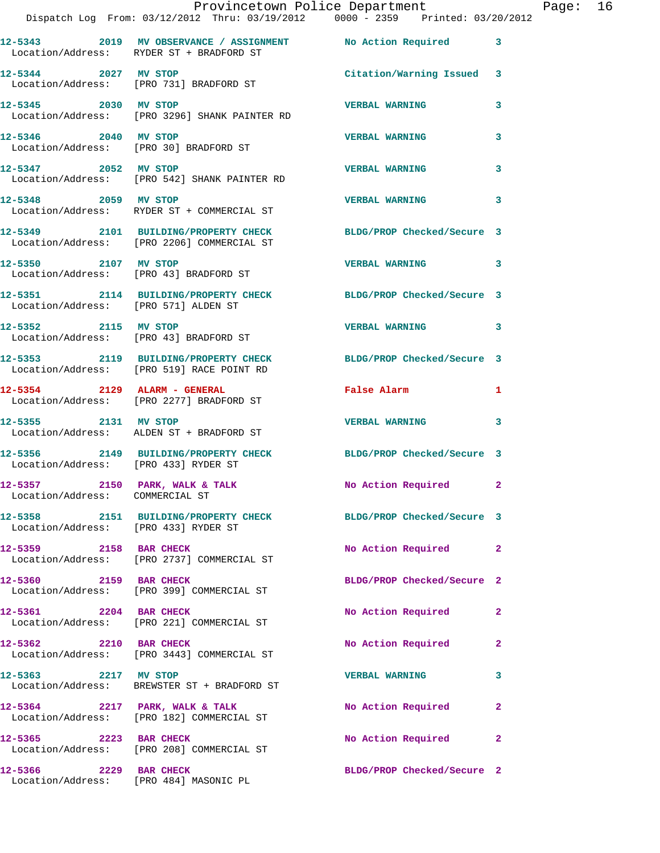|                                                                   | Dispatch Log From: 03/12/2012 Thru: 03/19/2012   0000 - 2359   Printed: 03/20/2012                            | Provincetown Police Department Page: 16 |              |  |
|-------------------------------------------------------------------|---------------------------------------------------------------------------------------------------------------|-----------------------------------------|--------------|--|
|                                                                   | 12-5343 2019 MV OBSERVANCE / ASSIGNMENT No Action Required 3<br>Location/Address: RYDER ST + BRADFORD ST      |                                         |              |  |
| 12-5344 2027 MV STOP                                              | Location/Address: [PRO 731] BRADFORD ST                                                                       | Citation/Warning Issued 3               |              |  |
|                                                                   | 12-5345 2030 MV STOP<br>Location/Address: [PRO 3296] SHANK PAINTER RD                                         | <b>VERBAL WARNING</b>                   | 3            |  |
| 12-5346 2040 MV STOP                                              | Location/Address: [PRO 30] BRADFORD ST                                                                        | <b>VERBAL WARNING</b>                   | 3            |  |
|                                                                   | 12-5347 2052 MV STOP<br>Location/Address: [PRO 542] SHANK PAINTER RD                                          | <b>VERBAL WARNING</b>                   | 3            |  |
| 12-5348 2059 MV STOP                                              | Location/Address: RYDER ST + COMMERCIAL ST                                                                    | <b>VERBAL WARNING</b>                   | 3            |  |
|                                                                   | 12-5349 2101 BUILDING/PROPERTY CHECK BLDG/PROP Checked/Secure 3<br>Location/Address: [PRO 2206] COMMERCIAL ST |                                         |              |  |
|                                                                   | 12-5350 2107 MV STOP<br>Location/Address: [PRO 43] BRADFORD ST                                                | <b>VERBAL WARNING</b>                   | 3            |  |
| Location/Address: [PRO 571] ALDEN ST                              | 12-5351 2114 BUILDING/PROPERTY CHECK BLDG/PROP Checked/Secure 3                                               |                                         |              |  |
|                                                                   | 12-5352 2115 MV STOP<br>Location/Address: [PRO 43] BRADFORD ST                                                | <b>VERBAL WARNING</b>                   | 3            |  |
|                                                                   | 12-5353 2119 BUILDING/PROPERTY CHECK BLDG/PROP Checked/Secure 3<br>Location/Address: [PRO 519] RACE POINT RD  |                                         |              |  |
|                                                                   | 12-5354 2129 ALARM - GENERAL<br>Location/Address: [PRO 2277] BRADFORD ST                                      | False Alarm                             | 1            |  |
| 12-5355 2131 MV STOP                                              | Location/Address: ALDEN ST + BRADFORD ST                                                                      | <b>VERBAL WARNING</b>                   | 3            |  |
|                                                                   | 12-5356 2149 BUILDING/PROPERTY CHECK BLDG/PROP Checked/Secure 3<br>Location/Address: [PRO 433] RYDER ST       |                                         |              |  |
| 12-5357 2150 PARK, WALK & TALK<br>Location/Address: COMMERCIAL ST |                                                                                                               | No Action Required 2                    |              |  |
| Location/Address: [PRO 433] RYDER ST                              | 12-5358 2151 BUILDING/PROPERTY CHECK BLDG/PROP Checked/Secure 3                                               |                                         |              |  |
|                                                                   | 12-5359 2158 BAR CHECK<br>Location/Address: [PRO 2737] COMMERCIAL ST                                          | No Action Required                      | $\mathbf{2}$ |  |
|                                                                   | 12-5360 2159 BAR CHECK<br>Location/Address: [PRO 399] COMMERCIAL ST                                           | BLDG/PROP Checked/Secure 2              |              |  |
| 12-5361 2204 BAR CHECK                                            | Location/Address: [PRO 221] COMMERCIAL ST                                                                     | No Action Required                      | $\mathbf{2}$ |  |
|                                                                   | 12-5362 2210 BAR CHECK<br>Location/Address: [PRO 3443] COMMERCIAL ST                                          | No Action Required                      | 2            |  |
| 12-5363 2217 MV STOP                                              | Location/Address: BREWSTER ST + BRADFORD ST                                                                   | <b>VERBAL WARNING</b>                   | 3            |  |
|                                                                   | $12-5364$ 2217 PARK, WALK & TALK<br>Location/Address: [PRO 182] COMMERCIAL ST                                 | No Action Required                      | 2            |  |
| 12-5365 2223 BAR CHECK                                            | Location/Address: [PRO 208] COMMERCIAL ST                                                                     | No Action Required                      | 2            |  |
| 12-5366 2229 BAR CHECK                                            | Location/Address: [PRO 484] MASONIC PL                                                                        | BLDG/PROP Checked/Secure 2              |              |  |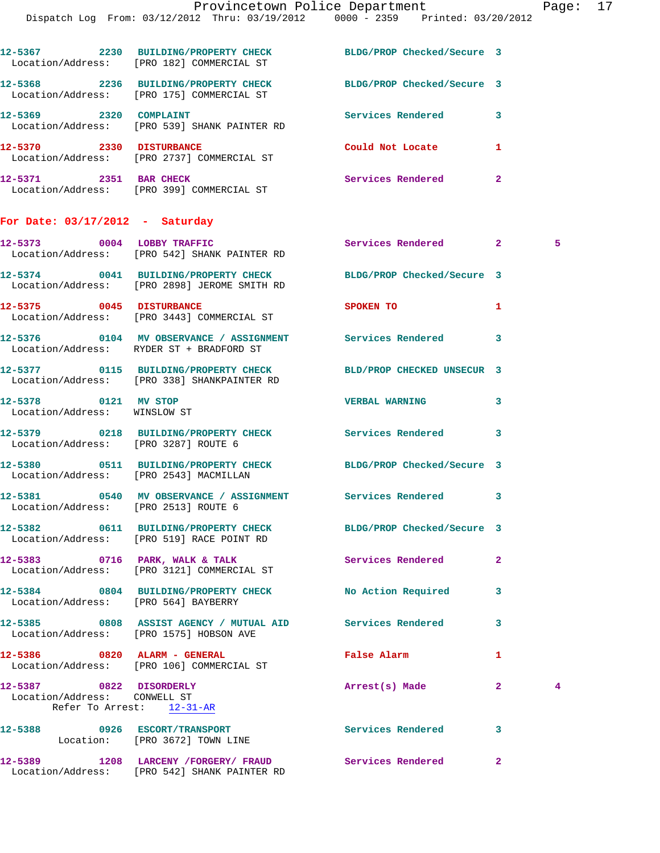|                                                         | Dispatch Log From: 03/12/2012 Thru: 03/19/2012   0000 - 2359   Printed: 03/20/2012                              |                            |                |                |
|---------------------------------------------------------|-----------------------------------------------------------------------------------------------------------------|----------------------------|----------------|----------------|
|                                                         | 12-5367 2230 BUILDING/PROPERTY CHECK<br>Location/Address: [PRO 182] COMMERCIAL ST                               | BLDG/PROP Checked/Secure 3 |                |                |
|                                                         | 12-5368 2236 BUILDING/PROPERTY CHECK<br>Location/Address: [PRO 175] COMMERCIAL ST                               | BLDG/PROP Checked/Secure 3 |                |                |
| 12-5369 2320 COMPLAINT                                  | Location/Address: [PRO 539] SHANK PAINTER RD                                                                    | Services Rendered          | 3              |                |
|                                                         | 12-5370 2330 DISTURBANCE<br>Location/Address: [PRO 2737] COMMERCIAL ST                                          | Could Not Locate           | 1              |                |
| 12-5371 2351 BAR CHECK                                  | Location/Address: [PRO 399] COMMERCIAL ST                                                                       | Services Rendered          | $\overline{a}$ |                |
| For Date: $03/17/2012$ - Saturday                       |                                                                                                                 |                            |                |                |
|                                                         | 12-5373 0004 LOBBY TRAFFIC<br>Location/Address: [PRO 542] SHANK PAINTER RD                                      | Services Rendered          | $\mathbf{2}$   | 5              |
|                                                         | 12-5374 0041 BUILDING/PROPERTY CHECK BLDG/PROP Checked/Secure 3<br>Location/Address: [PRO 2898] JEROME SMITH RD |                            |                |                |
| 12-5375 0045 DISTURBANCE                                | Location/Address: [PRO 3443] COMMERCIAL ST                                                                      | SPOKEN TO                  | 1              |                |
|                                                         | Location/Address: RYDER ST + BRADFORD ST                                                                        |                            | 3              |                |
|                                                         | 12-5377 0115 BUILDING/PROPERTY CHECK<br>Location/Address: [PRO 338] SHANKPAINTER RD                             | BLD/PROP CHECKED UNSECUR 3 |                |                |
| 12-5378 0121 MV STOP<br>Location/Address: WINSLOW ST    |                                                                                                                 | <b>VERBAL WARNING</b>      | 3              |                |
| Location/Address: [PRO 3287] ROUTE 6                    | 12-5379 0218 BUILDING/PROPERTY CHECK Services Rendered                                                          |                            | 3              |                |
| Location/Address: [PRO 2543] MACMILLAN                  | 12-5380 0511 BUILDING/PROPERTY CHECK BLDG/PROP Checked/Secure 3                                                 |                            |                |                |
| Location/Address: [PRO 2513] ROUTE 6                    | 12-5381 		 0540 MV OBSERVANCE / ASSIGNMENT Services Rendered                                                    |                            |                |                |
|                                                         | 12-5382 0611 BUILDING/PROPERTY CHECK BLDG/PROP Checked/Secure 3<br>Location/Address: [PRO 519] RACE POINT RD    |                            |                |                |
|                                                         | 12-5383 0716 PARK, WALK & TALK<br>Location/Address: [PRO 3121] COMMERCIAL ST                                    | Services Rendered          | $\overline{a}$ |                |
| Location/Address: [PRO 564] BAYBERRY                    | 12-5384 0804 BUILDING/PROPERTY CHECK No Action Required                                                         |                            | 3              |                |
|                                                         | 12-5385 0808 ASSIST AGENCY / MUTUAL AID Services Rendered<br>Location/Address: [PRO 1575] HOBSON AVE            |                            | 3              |                |
|                                                         | 12-5386 0820 ALARM - GENERAL<br>Location/Address: [PRO 106] COMMERCIAL ST                                       | False Alarm                | 1              |                |
| 12-5387 0822 DISORDERLY<br>Location/Address: CONWELL ST | Refer To Arrest: 12-31-AR                                                                                       | Arrest(s) Made             | $\mathbf{2}^-$ | $\overline{4}$ |
|                                                         | 12-5388 0926 ESCORT/TRANSPORT<br>Location: [PRO 3672] TOWN LINE                                                 | Services Rendered          | 3              |                |
|                                                         | 12-5389 1208 LARCENY / FORGERY / FRAUD Services Rendered                                                        |                            | $\mathbf{2}^-$ |                |

Location/Address: [PRO 542] SHANK PAINTER RD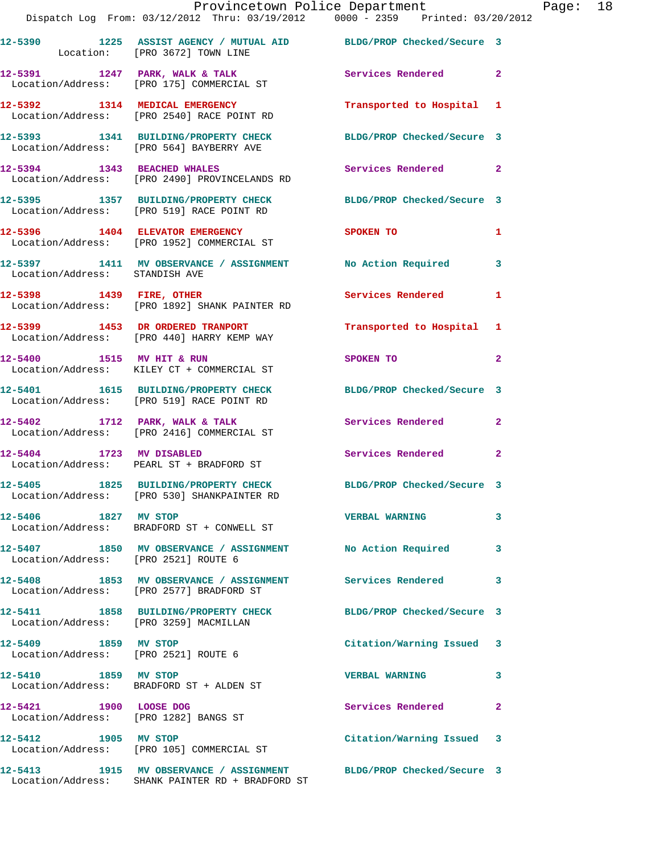|                                                              | Provincetown Police Department<br>Dispatch Log From: 03/12/2012 Thru: 03/19/2012   0000 - 2359   Printed: 03/20/2012 |                            |                |
|--------------------------------------------------------------|----------------------------------------------------------------------------------------------------------------------|----------------------------|----------------|
|                                                              | 12-5390 1225 ASSIST AGENCY / MUTUAL AID BLDG/PROP Checked/Secure 3<br>Location: [PRO 3672] TOWN LINE                 |                            |                |
|                                                              | 12-5391 1247 PARK, WALK & TALK<br>Location/Address: [PRO 175] COMMERCIAL ST                                          | Services Rendered          | $\overline{2}$ |
|                                                              | 12-5392 1314 MEDICAL EMERGENCY<br>Location/Address: [PRO 2540] RACE POINT RD                                         | Transported to Hospital 1  |                |
|                                                              | 12-5393 1341 BUILDING/PROPERTY CHECK BLDG/PROP Checked/Secure 3<br>Location/Address: [PRO 564] BAYBERRY AVE          |                            |                |
|                                                              | 12-5394 1343 BEACHED WHALES<br>Location/Address: [PRO 2490] PROVINCELANDS RD                                         | Services Rendered          | $\mathbf{2}$   |
|                                                              | 12-5395 1357 BUILDING/PROPERTY CHECK BLDG/PROP Checked/Secure 3<br>Location/Address: [PRO 519] RACE POINT RD         |                            |                |
|                                                              | 12-5396 1404 ELEVATOR EMERGENCY<br>Location/Address: [PRO 1952] COMMERCIAL ST                                        | SPOKEN TO                  | 1              |
| Location/Address: STANDISH AVE                               | 12-5397 1411 MV OBSERVANCE / ASSIGNMENT No Action Required                                                           |                            | 3              |
|                                                              | 12-5398 1439 FIRE, OTHER<br>Location/Address: [PRO 1892] SHANK PAINTER RD                                            | Services Rendered          | 1              |
|                                                              | 12-5399 1453 DR ORDERED TRANPORT<br>Location/Address: [PRO 440] HARRY KEMP WAY                                       | Transported to Hospital    | 1              |
|                                                              | 12-5400 1515 MV HIT & RUN<br>Location/Address: KILEY CT + COMMERCIAL ST                                              | SPOKEN TO                  | $\overline{a}$ |
|                                                              | 12-5401 1615 BUILDING/PROPERTY CHECK BLDG/PROP Checked/Secure 3<br>Location/Address: [PRO 519] RACE POINT RD         |                            |                |
|                                                              | 12-5402 1712 PARK, WALK & TALK<br>Location/Address: [PRO 2416] COMMERCIAL ST                                         | Services Rendered          | $\mathbf{2}$   |
|                                                              | 12-5404 1723 MV DISABLED<br>Location/Address: PEARL ST + BRADFORD ST                                                 | Services Rendered          | $\overline{a}$ |
|                                                              | 12-5405 1825 BUILDING/PROPERTY CHECK<br>Location/Address: [PRO 530] SHANKPAINTER RD                                  | BLDG/PROP Checked/Secure 3 |                |
| 12-5406 1827 MV STOP                                         | Location/Address: BRADFORD ST + CONWELL ST                                                                           | <b>VERBAL WARNING</b>      | 3              |
| Location/Address: [PRO 2521] ROUTE 6                         | 12-5407 1850 MV OBSERVANCE / ASSIGNMENT No Action Required                                                           |                            | 3              |
|                                                              | 12-5408 1853 MV OBSERVANCE / ASSIGNMENT Services Rendered<br>Location/Address: [PRO 2577] BRADFORD ST                |                            | 3              |
| Location/Address: [PRO 3259] MACMILLAN                       | 12-5411 1858 BUILDING/PROPERTY CHECK                                                                                 | BLDG/PROP Checked/Secure 3 |                |
| 12-5409 1859 MV STOP<br>Location/Address: [PRO 2521] ROUTE 6 |                                                                                                                      | Citation/Warning Issued    | 3              |
| 12-5410 1859 MV STOP                                         | Location/Address: BRADFORD ST + ALDEN ST                                                                             | <b>VERBAL WARNING</b>      | 3              |
| 12-5421 1900 LOOSE DOG                                       | Location/Address: [PRO 1282] BANGS ST                                                                                | Services Rendered          | $\mathbf{2}$   |
| 12-5412 1905 MV STOP                                         | Location/Address: [PRO 105] COMMERCIAL ST                                                                            | Citation/Warning Issued    | 3              |
|                                                              | 12-5413 1915 MV OBSERVANCE / ASSIGNMENT                                                                              | BLDG/PROP Checked/Secure 3 |                |

Location/Address: SHANK PAINTER RD + BRADFORD ST

Page: 18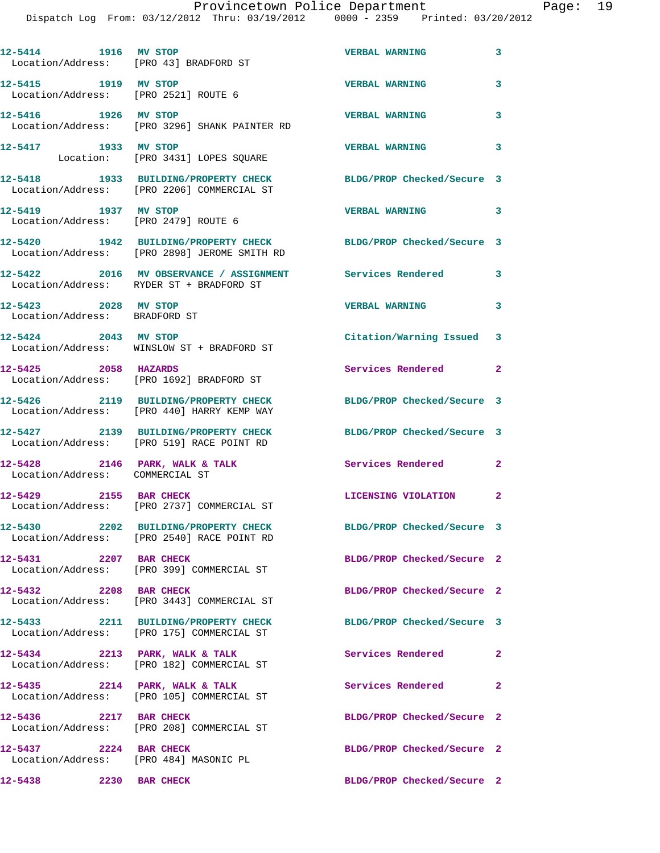| 12-5414 1916 MV STOP<br>Location/Address: [PRO 43] BRADFORD ST |                                                                                                                 | <b>VERBAL WARNING</b>      | 3              |
|----------------------------------------------------------------|-----------------------------------------------------------------------------------------------------------------|----------------------------|----------------|
| 12-5415 1919 MV STOP<br>Location/Address: [PRO 2521] ROUTE 6   |                                                                                                                 | <b>VERBAL WARNING</b>      | 3              |
| 12-5416 1926 MV STOP                                           | Location/Address: [PRO 3296] SHANK PAINTER RD                                                                   | <b>VERBAL WARNING</b>      | 3              |
| 12-5417 1933 MV STOP                                           | Location: [PRO 3431] LOPES SQUARE                                                                               | <b>VERBAL WARNING</b>      | 3              |
|                                                                | 12-5418 1933 BUILDING/PROPERTY CHECK<br>Location/Address: [PRO 2206] COMMERCIAL ST                              | BLDG/PROP Checked/Secure 3 |                |
| 12-5419 1937 MV STOP<br>Location/Address: [PRO 2479] ROUTE 6   |                                                                                                                 | <b>VERBAL WARNING</b>      | $\mathbf{3}$   |
|                                                                | 12-5420 1942 BUILDING/PROPERTY CHECK BLDG/PROP Checked/Secure 3<br>Location/Address: [PRO 2898] JEROME SMITH RD |                            |                |
|                                                                | 12-5422 2016 MV OBSERVANCE / ASSIGNMENT Services Rendered<br>Location/Address: RYDER ST + BRADFORD ST           |                            | 3              |
| 12-5423 2028 MV STOP<br>Location/Address: BRADFORD ST          |                                                                                                                 | <b>VERBAL WARNING</b>      | $\mathbf{3}$   |
|                                                                | 12-5424 2043 MV STOP<br>Location/Address: WINSLOW ST + BRADFORD ST                                              | Citation/Warning Issued 3  |                |
| 12-5425 2058 HAZARDS                                           | Location/Address: [PRO 1692] BRADFORD ST                                                                        | Services Rendered 2        |                |
|                                                                | 12-5426 2119 BUILDING/PROPERTY CHECK<br>Location/Address: [PRO 440] HARRY KEMP WAY                              | BLDG/PROP Checked/Secure 3 |                |
|                                                                | 12-5427 2139 BUILDING/PROPERTY CHECK<br>Location/Address: [PRO 519] RACE POINT RD                               | BLDG/PROP Checked/Secure 3 |                |
| Location/Address: COMMERCIAL ST                                | $12-5428$ 2146 PARK, WALK & TALK                                                                                | <b>Services Rendered</b>   | $\overline{a}$ |
| 12-5429 2155 BAR CHECK                                         | Location/Address: [PRO 2737] COMMERCIAL ST                                                                      | LICENSING VIOLATION 2      |                |
|                                                                | 12-5430 2202 BUILDING/PROPERTY CHECK<br>Location/Address: [PRO 2540] RACE POINT RD                              | BLDG/PROP Checked/Secure 3 |                |
| 12-5431 2207 BAR CHECK                                         | Location/Address: [PRO 399] COMMERCIAL ST                                                                       | BLDG/PROP Checked/Secure 2 |                |
| 12-5432 2208 BAR CHECK                                         | Location/Address: [PRO 3443] COMMERCIAL ST                                                                      | BLDG/PROP Checked/Secure 2 |                |
|                                                                | 12-5433 2211 BUILDING/PROPERTY CHECK<br>Location/Address: [PRO 175] COMMERCIAL ST                               | BLDG/PROP Checked/Secure 3 |                |
|                                                                | $12-5434$ 2213 PARK, WALK & TALK<br>Location/Address: [PRO 182] COMMERCIAL ST                                   | Services Rendered          | 2              |
| 12-5435 2214 PARK, WALK & TALK                                 | Location/Address: [PRO 105] COMMERCIAL ST                                                                       | Services Rendered          | $\mathbf{2}$   |
| 12-5436 2217 BAR CHECK                                         | Location/Address: [PRO 208] COMMERCIAL ST                                                                       | BLDG/PROP Checked/Secure 2 |                |
| 12-5437 2224 BAR CHECK                                         | Location/Address: [PRO 484] MASONIC PL                                                                          | BLDG/PROP Checked/Secure 2 |                |
| 12-5438<br>2230 BAR CHECK                                      |                                                                                                                 | BLDG/PROP Checked/Secure 2 |                |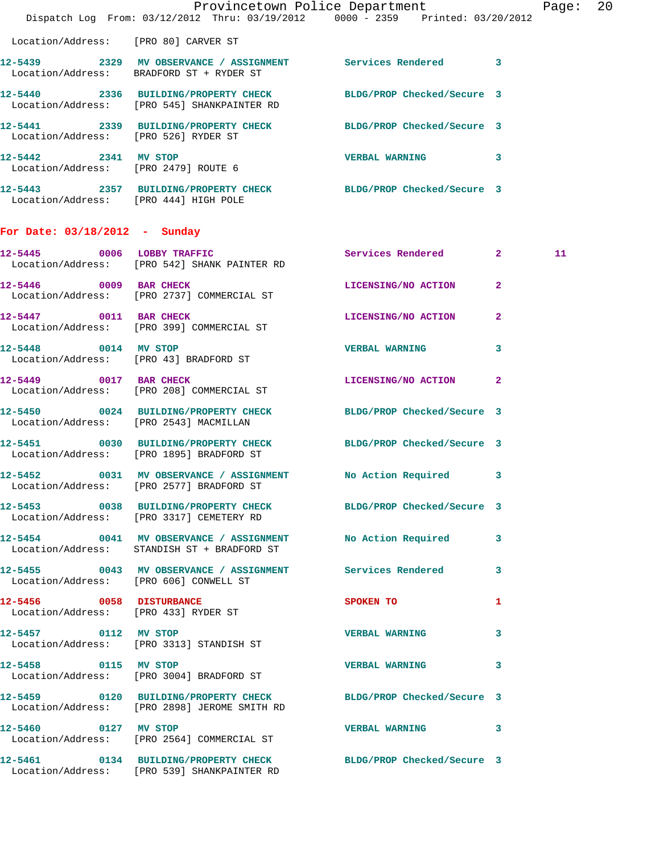|                                        |                                                                            | Provincetown Police Department<br>Dispatch Log From: 03/12/2012 Thru: 03/19/2012 0000 - 2359 Printed: 03/20/2012 | Page: 20 |  |
|----------------------------------------|----------------------------------------------------------------------------|------------------------------------------------------------------------------------------------------------------|----------|--|
| Location/Address: [PRO 80] CARVER ST   |                                                                            |                                                                                                                  |          |  |
|                                        | Location/Address: BRADFORD ST + RYDER ST                                   |                                                                                                                  |          |  |
|                                        | Location/Address: [PRO 545] SHANKPAINTER RD                                | 12-5440 2336 BUILDING/PROPERTY CHECK BLDG/PROP Checked/Secure 3                                                  |          |  |
| Location/Address: [PRO 526] RYDER ST   |                                                                            | 12-5441 2339 BUILDING/PROPERTY CHECK BLDG/PROP Checked/Secure 3                                                  |          |  |
|                                        | 12-5442 2341 MV STOP<br>Location/Address: [PRO 2479] ROUTE 6               | VERBAL WARNING 3                                                                                                 |          |  |
| Location/Address: [PRO 444] HIGH POLE  |                                                                            | 12-5443 2357 BUILDING/PROPERTY CHECK BLDG/PROP Checked/Secure 3                                                  |          |  |
| For Date: 03/18/2012 - Sunday          |                                                                            |                                                                                                                  |          |  |
|                                        | 12-5445 0006 LOBBY TRAFFIC<br>Location/Address: [PRO 542] SHANK PAINTER RD | Services Rendered 2                                                                                              | 11       |  |
|                                        | 12-5446 0009 BAR CHECK<br>Location/Address: [PRO 2737] COMMERCIAL ST       | LICENSING/NO ACTION 2                                                                                            |          |  |
| 12-5447 0011 BAR CHECK                 | Location/Address: [PRO 399] COMMERCIAL ST                                  | LICENSING/NO ACTION 2                                                                                            |          |  |
|                                        | 12-5448 0014 MV STOP<br>Location/Address: [PRO 43] BRADFORD ST             | <b>VERBAL WARNING</b><br>3                                                                                       |          |  |
| 12-5449 0017 BAR CHECK                 | Location/Address: [PRO 208] COMMERCIAL ST                                  | LICENSING/NO ACTION 2                                                                                            |          |  |
|                                        | Location/Address: [PRO 2543] MACMILLAN                                     | 12-5450 0024 BUILDING/PROPERTY CHECK BLDG/PROP Checked/Secure 3                                                  |          |  |
|                                        | Location/Address: [PRO 1895] BRADFORD ST                                   | 12-5451 0030 BUILDING/PROPERTY CHECK BLDG/PROP Checked/Secure 3                                                  |          |  |
|                                        | Location/Address: [PRO 2577] BRADFORD ST                                   | 12-5452 0031 MV OBSERVANCE / ASSIGNMENT No Action Required 3                                                     |          |  |
|                                        | Location/Address: [PRO 3317] CEMETERY RD                                   | 12-5453 0038 BUILDING/PROPERTY CHECK BLDG/PROP Checked/Secure 3                                                  |          |  |
|                                        | Location/Address: STANDISH ST + BRADFORD ST                                | 12-5454 0041 MV OBSERVANCE / ASSIGNMENT NO Action Required 3                                                     |          |  |
| Location/Address: [PRO 606] CONWELL ST |                                                                            | 12-5455 0043 MV OBSERVANCE / ASSIGNMENT Services Rendered 3                                                      |          |  |
|                                        | 12-5456 0058 DISTURBANCE<br>Location/Address: [PRO 433] RYDER ST           | SPOKEN TO<br>1                                                                                                   |          |  |
| 12-5457 0112 MV STOP                   | Location/Address: [PRO 3313] STANDISH ST                                   | VERBAL WARNING 3                                                                                                 |          |  |
|                                        | 12-5458 0115 MV STOP<br>Location/Address: [PRO 3004] BRADFORD ST           | VERBAL WARNING 3                                                                                                 |          |  |
|                                        | Location/Address: [PRO 2898] JEROME SMITH RD                               | 12-5459 0120 BUILDING/PROPERTY CHECK BLDG/PROP Checked/Secure 3                                                  |          |  |
|                                        | 12-5460 0127 MV STOP<br>Location/Address: [PRO 2564] COMMERCIAL ST         | VERBAL WARNING 3                                                                                                 |          |  |
|                                        | Location/Address: [PRO 539] SHANKPAINTER RD                                | 12-5461 0134 BUILDING/PROPERTY CHECK BLDG/PROP Checked/Secure 3                                                  |          |  |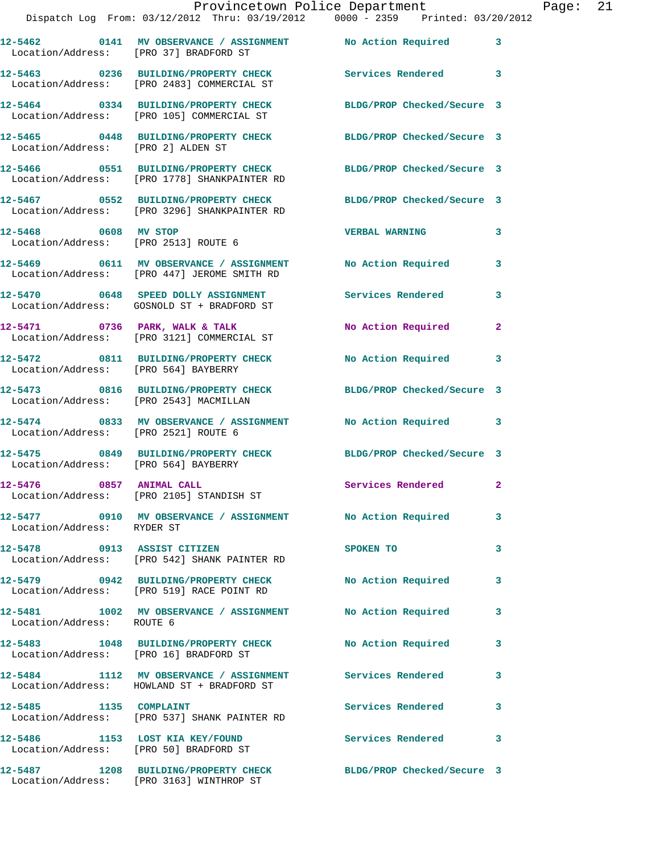|                                                              | Provincetown Police Department<br>Dispatch Log From: 03/12/2012 Thru: 03/19/2012 0000 - 2359 Printed: 03/20/2012 |                           |                |
|--------------------------------------------------------------|------------------------------------------------------------------------------------------------------------------|---------------------------|----------------|
|                                                              | 12-5462 0141 MV OBSERVANCE / ASSIGNMENT No Action Required<br>Location/Address: [PRO 37] BRADFORD ST             |                           | 3              |
|                                                              | 12-5463 0236 BUILDING/PROPERTY CHECK<br>Location/Address: [PRO 2483] COMMERCIAL ST                               | <b>Services Rendered</b>  | 3              |
|                                                              | 12-5464 0334 BUILDING/PROPERTY CHECK BLDG/PROP Checked/Secure 3<br>Location/Address: [PRO 105] COMMERCIAL ST     |                           |                |
| Location/Address: [PRO 2] ALDEN ST                           | 12-5465 0448 BUILDING/PROPERTY CHECK BLDG/PROP Checked/Secure 3                                                  |                           |                |
|                                                              | 12-5466 0551 BUILDING/PROPERTY CHECK BLDG/PROP Checked/Secure 3<br>Location/Address: [PRO 1778] SHANKPAINTER RD  |                           |                |
|                                                              | 12-5467 0552 BUILDING/PROPERTY CHECK BLDG/PROP Checked/Secure 3<br>Location/Address: [PRO 3296] SHANKPAINTER RD  |                           |                |
| 12-5468 0608 MV STOP<br>Location/Address: [PRO 2513] ROUTE 6 |                                                                                                                  | <b>VERBAL WARNING</b>     | 3              |
|                                                              | 12-5469 0611 MV OBSERVANCE / ASSIGNMENT<br>Location/Address: [PRO 447] JEROME SMITH RD                           | <b>No Action Required</b> | 3              |
|                                                              | 12-5470 0648 SPEED DOLLY ASSIGNMENT<br>Location/Address: GOSNOLD ST + BRADFORD ST                                | Services Rendered         | 3              |
|                                                              | $12-5471$ 0736 PARK, WALK & TALK<br>Location/Address: [PRO 3121] COMMERCIAL ST                                   | No Action Required        | $\mathbf{2}$   |
| Location/Address: [PRO 564] BAYBERRY                         | 12-5472 0811 BUILDING/PROPERTY CHECK                                                                             | No Action Required        | 3              |
| Location/Address: [PRO 2543] MACMILLAN                       | 12-5473 0816 BUILDING/PROPERTY CHECK BLDG/PROP Checked/Secure 3                                                  |                           |                |
| Location/Address: [PRO 2521] ROUTE 6                         | 12-5474 0833 MV OBSERVANCE / ASSIGNMENT                                                                          | No Action Required        | 3              |
| Location/Address: [PRO 564] BAYBERRY                         | 12-5475 0849 BUILDING/PROPERTY CHECK BLDG/PROP Checked/Secure 3                                                  |                           |                |
| 12-5476 0857 ANIMAL CALL                                     | Location/Address: [PRO 2105] STANDISH ST                                                                         | Services Rendered         | $\overline{2}$ |
| Location/Address: RYDER ST                                   | 12-5477 0910 MV OBSERVANCE / ASSIGNMENT No Action Required                                                       |                           | 3              |
|                                                              | 12-5478 0913 ASSIST CITIZEN<br>Location/Address: [PRO 542] SHANK PAINTER RD                                      | SPOKEN TO                 | 3              |
|                                                              | 12-5479 0942 BUILDING/PROPERTY CHECK<br>Location/Address: [PRO 519] RACE POINT RD                                | No Action Required        | 3              |
| Location/Address: ROUTE 6                                    | 12-5481 1002 MV OBSERVANCE / ASSIGNMENT                                                                          | No Action Required        | 3              |
| Location/Address: [PRO 16] BRADFORD ST                       | 12-5483 1048 BUILDING/PROPERTY CHECK                                                                             | <b>No Action Required</b> | 3              |
|                                                              | 12-5484 1112 MV OBSERVANCE / ASSIGNMENT Services Rendered<br>Location/Address: HOWLAND ST + BRADFORD ST          |                           | 3              |
| 12-5485 1135 COMPLAINT                                       | Location/Address: [PRO 537] SHANK PAINTER RD                                                                     | Services Rendered         | 3              |
| 12-5486 1153 LOST KIA KEY/FOUND                              |                                                                                                                  | <b>Services Rendered</b>  | 3              |

Location/Address: [PRO 50] BRADFORD ST

Location/Address: [PRO 3163] WINTHROP ST

**12-5487 1208 BUILDING/PROPERTY CHECK BLDG/PROP Checked/Secure 3** 

Page: 21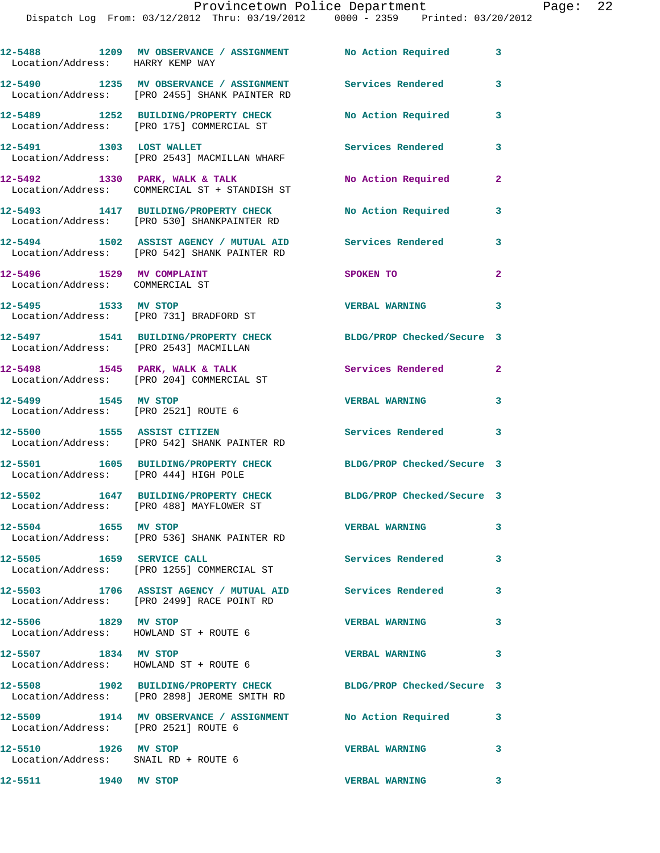## Provincetown Police Department Page: 22

Dispatch Log From: 03/12/2012 Thru: 03/19/2012 0000 - 2359 Printed: 03/20/2012

| Location/Address: HARRY KEMP WAY                               | 12-5488 1209 MV OBSERVANCE / ASSIGNMENT No Action Required                                                      |                                          | 3                          |
|----------------------------------------------------------------|-----------------------------------------------------------------------------------------------------------------|------------------------------------------|----------------------------|
|                                                                | 12-5490 1235 MV OBSERVANCE / ASSIGNMENT Services Rendered<br>Location/Address: [PRO 2455] SHANK PAINTER RD      |                                          | $\mathbf{3}$               |
|                                                                | 12-5489 1252 BUILDING/PROPERTY CHECK<br>Location/Address: [PRO 175] COMMERCIAL ST                               | No Action Required                       | 3                          |
| 12-5491 1303 LOST WALLET                                       | Location/Address: [PRO 2543] MACMILLAN WHARF                                                                    | <b>Services Rendered</b>                 | 3                          |
|                                                                | $12-5492$ 1330 PARK, WALK & TALK<br>Location/Address: COMMERCIAL ST + STANDISH ST                               | No Action Required                       | $\mathbf{2}$               |
|                                                                | 12-5493 1417 BUILDING/PROPERTY CHECK<br>Location/Address: [PRO 530] SHANKPAINTER RD                             | No Action Required                       | 3                          |
|                                                                | 12-5494 1502 ASSIST AGENCY / MUTUAL AID<br>Location/Address: [PRO 542] SHANK PAINTER RD                         | Services Rendered                        | $\overline{\phantom{a}}$ 3 |
| 12-5496 1529 MV COMPLAINT<br>Location/Address: COMMERCIAL ST   |                                                                                                                 | SPOKEN TO                                | $\mathbf{2}$               |
| 12-5495 1533 MV STOP                                           | Location/Address: [PRO 731] BRADFORD ST                                                                         | <b>VERBAL WARNING</b>                    | $\mathbf{3}$               |
| Location/Address: [PRO 2543] MACMILLAN                         | 12-5497 1541 BUILDING/PROPERTY CHECK                                                                            | BLDG/PROP Checked/Secure 3               |                            |
|                                                                | $12-5498$ 1545 PARK, WALK & TALK<br>Location/Address: [PRO 204] COMMERCIAL ST                                   | <b>Services Rendered</b> 2               |                            |
| 12-5499 1545 MV STOP<br>Location/Address: [PRO 2521] ROUTE 6   |                                                                                                                 | <b>VERBAL WARNING</b>                    | 3                          |
| 12-5500 1555 ASSIST CITIZEN                                    | Location/Address: [PRO 542] SHANK PAINTER RD                                                                    | <b>Services Rendered</b>                 | $\overline{\phantom{a}}$ 3 |
| Location/Address: [PRO 444] HIGH POLE                          | 12-5501 1605 BUILDING/PROPERTY CHECK                                                                            | BLDG/PROP Checked/Secure 3               |                            |
|                                                                | 12-5502 1647 BUILDING/PROPERTY CHECK<br>Location/Address: [PRO 488] MAYFLOWER ST                                | BLDG/PROP Checked/Secure 3               |                            |
| 12-5504 1655 MV STOP                                           | Location/Address: [PRO 536] SHANK PAINTER RD                                                                    | <b>VERBAL WARNING</b>                    | 3                          |
| 12-5505 1659 SERVICE CALL                                      | Location/Address: [PRO 1255] COMMERCIAL ST                                                                      | <b>Services Rendered</b><br>$\sim$ 3     |                            |
|                                                                | 12-5503 1706 ASSIST AGENCY / MUTUAL AID Services Rendered<br>Location/Address: [PRO 2499] RACE POINT RD         |                                          | $\mathbf{3}$               |
| 12-5506 1829 MV STOP                                           | Location/Address: HOWLAND ST + ROUTE 6                                                                          | <b>VERBAL WARNING</b>                    | $\mathbf{3}$               |
| 12-5507 1834 MV STOP<br>Location/Address: HOWLAND ST + ROUTE 6 |                                                                                                                 | <b>VERBAL WARNING</b>                    | $\mathbf{3}$               |
|                                                                | 12-5508 1902 BUILDING/PROPERTY CHECK BLDG/PROP Checked/Secure 3<br>Location/Address: [PRO 2898] JEROME SMITH RD |                                          |                            |
|                                                                |                                                                                                                 |                                          | 3                          |
| 12-5510 1926 MV STOP<br>Location/Address: SNAIL RD + ROUTE 6   |                                                                                                                 | <b>VERBAL WARNING</b>                    | $\mathbf{3}$               |
| 12-5511 1940 MV STOP                                           |                                                                                                                 | <b>VERBAL WARNING</b><br>$\sim$ $\sim$ 3 |                            |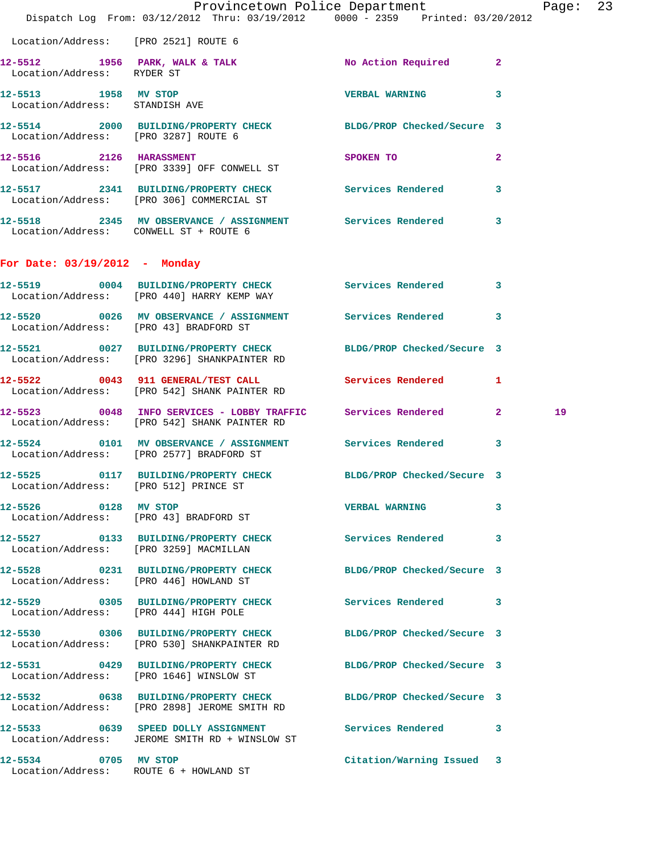|                                        | Dispatch Log From: 03/12/2012 Thru: 03/19/2012 0000 - 2359 Printed: 03/20/2012                                  | Provincetown Police Department                                                                                       |              | Page: 23 |  |
|----------------------------------------|-----------------------------------------------------------------------------------------------------------------|----------------------------------------------------------------------------------------------------------------------|--------------|----------|--|
| Location/Address: [PRO 2521] ROUTE 6   |                                                                                                                 |                                                                                                                      |              |          |  |
| Location/Address: RYDER ST             | 12-5512 1956 PARK, WALK & TALK No Action Required 2                                                             |                                                                                                                      |              |          |  |
| Location/Address: STANDISH AVE         | 12-5513 1958 MV STOP                                                                                            | <b>VERBAL WARNING 3</b>                                                                                              |              |          |  |
| Location/Address: [PRO 3287] ROUTE 6   | 12-5514 2000 BUILDING/PROPERTY CHECK BLDG/PROP Checked/Secure 3                                                 |                                                                                                                      |              |          |  |
|                                        | 12-5516 2126 HARASSMENT<br>Location/Address: [PRO 3339] OFF CONWELL ST                                          | SPOKEN TO AND TO A STRUCK TO A THING OF THE STRUCK OF THE STRUCK OF THE STRUCK OF THE STRUCK OF THE STRUCK OF THE ST | $\mathbf{2}$ |          |  |
|                                        | 12-5517 2341 BUILDING/PROPERTY CHECK Services Rendered 3<br>Location/Address: [PRO 306] COMMERCIAL ST           |                                                                                                                      |              |          |  |
| Location/Address: CONWELL ST + ROUTE 6 | 12-5518 2345 MV OBSERVANCE / ASSIGNMENT Services Rendered 3                                                     |                                                                                                                      |              |          |  |
| For Date: 03/19/2012 - Monday          |                                                                                                                 |                                                                                                                      |              |          |  |
|                                        | 12-5519 0004 BUILDING/PROPERTY CHECK Services Rendered 3<br>Location/Address: [PRO 440] HARRY KEMP WAY          |                                                                                                                      |              |          |  |
|                                        | 12-5520 0026 MV OBSERVANCE / ASSIGNMENT Services Rendered 3<br>Location/Address: [PRO 43] BRADFORD ST           |                                                                                                                      |              |          |  |
|                                        | 12-5521 0027 BUILDING/PROPERTY CHECK BLDG/PROP Checked/Secure 3<br>Location/Address: [PRO 3296] SHANKPAINTER RD |                                                                                                                      |              |          |  |
|                                        | 12-5522 0043 911 GENERAL/TEST CALL Services Rendered 1<br>Location/Address: [PRO 542] SHANK PAINTER RD          |                                                                                                                      |              |          |  |
|                                        | 12-5523 0048 INFO SERVICES - LOBBY TRAFFIC Services Rendered 2<br>Location/Address: [PRO 542] SHANK PAINTER RD  |                                                                                                                      |              | 19       |  |
|                                        | 12-5524 0101 MV OBSERVANCE / ASSIGNMENT Services Rendered 3<br>Location/Address: [PRO 2577] BRADFORD ST         |                                                                                                                      |              |          |  |
|                                        | 12-5525 0117 BUILDING/PROPERTY CHECK BLDG/PROP Checked/Secure 3<br>Location/Address: [PRO 512] PRINCE ST        |                                                                                                                      |              |          |  |
| 12-5526 0128 MV STOP                   | Location/Address: [PRO 43] BRADFORD ST                                                                          | <b>VERBAL WARNING</b>                                                                                                | 3            |          |  |
|                                        | 12-5527 0133 BUILDING/PROPERTY CHECK Services Rendered 3<br>Location/Address: [PRO 3259] MACMILLAN              |                                                                                                                      |              |          |  |
|                                        | 12-5528 0231 BUILDING/PROPERTY CHECK BLDG/PROP Checked/Secure 3<br>Location/Address: [PRO 446] HOWLAND ST       |                                                                                                                      |              |          |  |
|                                        | 12-5529 0305 BUILDING/PROPERTY CHECK Services Rendered 3<br>Location/Address: [PRO 444] HIGH POLE               |                                                                                                                      |              |          |  |
|                                        | 12-5530 0306 BUILDING/PROPERTY CHECK BLDG/PROP Checked/Secure 3<br>Location/Address: [PRO 530] SHANKPAINTER RD  |                                                                                                                      |              |          |  |
|                                        | 12-5531 0429 BUILDING/PROPERTY CHECK BLDG/PROP Checked/Secure 3<br>Location/Address: [PRO 1646] WINSLOW ST      |                                                                                                                      |              |          |  |
|                                        | 12-5532 0638 BUILDING/PROPERTY CHECK BLDG/PROP Checked/Secure 3<br>Location/Address: [PRO 2898] JEROME SMITH RD |                                                                                                                      |              |          |  |
|                                        | 12-5533 0639 SPEED DOLLY ASSIGNMENT Services Rendered 3<br>Location/Address: JEROME SMITH RD + WINSLOW ST       |                                                                                                                      |              |          |  |
| 12-5534 0705 MV STOP                   | Location/Address: ROUTE 6 + HOWLAND ST                                                                          | Citation/Warning Issued 3                                                                                            |              |          |  |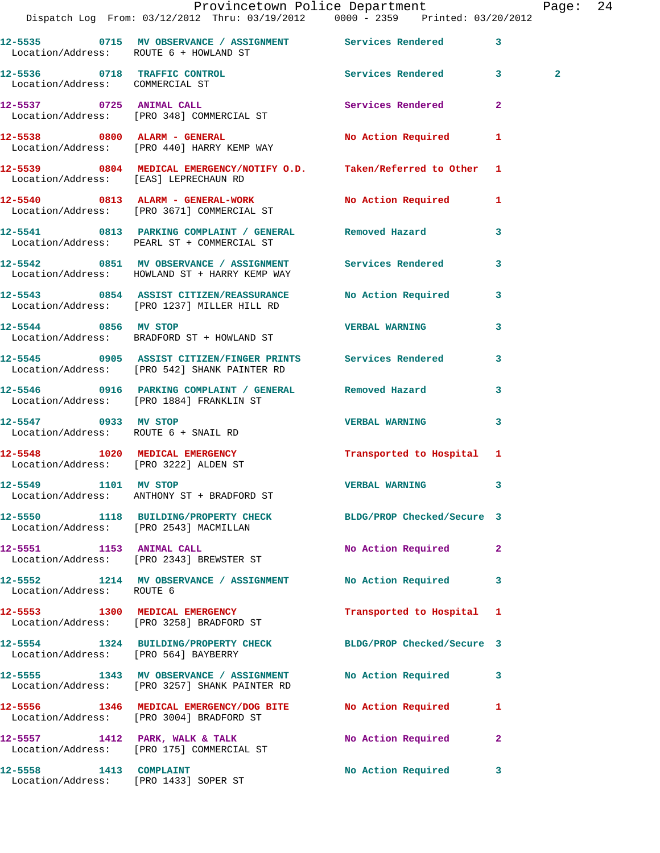|                                        | Provincetown Police Department<br>Dispatch Log From: 03/12/2012 Thru: 03/19/2012   0000 - 2359   Printed: 03/20/2012 |                            |              | Page: 24       |  |
|----------------------------------------|----------------------------------------------------------------------------------------------------------------------|----------------------------|--------------|----------------|--|
| Location/Address: ROUTE 6 + HOWLAND ST | 12-5535 0715 MV OBSERVANCE / ASSIGNMENT Services Rendered 3                                                          |                            |              |                |  |
| Location/Address: COMMERCIAL ST        | 12-5536 0718 TRAFFIC CONTROL Services Rendered 3                                                                     |                            |              | $\overline{2}$ |  |
|                                        | 12-5537 0725 ANIMAL CALL<br>Location/Address: [PRO 348] COMMERCIAL ST                                                | Services Rendered          | $\mathbf{2}$ |                |  |
|                                        | 12-5538 0800 ALARM - GENERAL No Action Required 1<br>Location/Address: [PRO 440] HARRY KEMP WAY                      |                            |              |                |  |
| Location/Address: [EAS] LEPRECHAUN RD  | 12-5539 0804 MEDICAL EMERGENCY/NOTIFY O.D. Taken/Referred to Other 1                                                 |                            |              |                |  |
|                                        | 12-5540 0813 ALARM - GENERAL-WORK No Action Required 1<br>Location/Address: [PRO 3671] COMMERCIAL ST                 |                            |              |                |  |
|                                        | 12-5541 0813 PARKING COMPLAINT / GENERAL Removed Hazard 3<br>Location/Address: PEARL ST + COMMERCIAL ST              |                            |              |                |  |
|                                        | 12-5542 0851 MV OBSERVANCE / ASSIGNMENT Services Rendered<br>Location/Address: HOWLAND ST + HARRY KEMP WAY           |                            | 3            |                |  |
|                                        | 12-5543 0854 ASSIST CITIZEN/REASSURANCE No Action Required 3<br>Location/Address: [PRO 1237] MILLER HILL RD          |                            |              |                |  |
|                                        | 12-5544 0856 MV STOP<br>Location/Address: BRADFORD ST + HOWLAND ST                                                   | <b>VERBAL WARNING</b>      | 3            |                |  |
|                                        | 12-5545 0905 ASSIST CITIZEN/FINGER PRINTS Services Rendered 3<br>Location/Address: [PRO 542] SHANK PAINTER RD        |                            |              |                |  |
|                                        | 12-5546 0916 PARKING COMPLAINT / GENERAL Removed Hazard<br>Location/Address: [PRO 1884] FRANKLIN ST                  |                            | 3            |                |  |
| 12-5547 0933 MV STOP                   | Location/Address: ROUTE 6 + SNAIL RD                                                                                 | <b>VERBAL WARNING</b>      | $\mathbf{3}$ |                |  |
|                                        | 12-5548   1020   MEDICAL EMERGENCY   Transported to Hospital 1<br>Location/Address: [PRO 3222] ALDEN ST              |                            |              |                |  |
| 12-5549 1101 MV STOP                   | Location/Address: ANTHONY ST + BRADFORD ST                                                                           | <b>VERBAL WARNING</b>      |              |                |  |
|                                        | 12-5550 1118 BUILDING/PROPERTY CHECK BLDG/PROP Checked/Secure 3<br>Location/Address: [PRO 2543] MACMILLAN            |                            |              |                |  |
|                                        | 12-5551 1153 ANIMAL CALL<br>Location/Address: [PRO 2343] BREWSTER ST                                                 | No Action Required 2       |              |                |  |
| Location/Address: ROUTE 6              | 12-5552 1214 MV OBSERVANCE / ASSIGNMENT No Action Required                                                           |                            | 3            |                |  |
|                                        | 12-5553 1300 MEDICAL EMERGENCY<br>Location/Address: [PRO 3258] BRADFORD ST                                           | Transported to Hospital 1  |              |                |  |
| Location/Address: [PRO 564] BAYBERRY   | 12-5554 1324 BUILDING/PROPERTY CHECK                                                                                 | BLDG/PROP Checked/Secure 3 |              |                |  |
|                                        | 12-5555 1343 MV OBSERVANCE / ASSIGNMENT<br>Location/Address: [PRO 3257] SHANK PAINTER RD                             | No Action Required 3       |              |                |  |
|                                        | 12-5556 1346 MEDICAL EMERGENCY/DOG BITE<br>Location/Address: [PRO 3004] BRADFORD ST                                  | No Action Required         | 1            |                |  |
|                                        | 12-5557 1412 PARK, WALK & TALK<br>Location/Address: [PRO 175] COMMERCIAL ST                                          | No Action Required         | $\mathbf{2}$ |                |  |
| 12-5558 1413 COMPLAINT                 | Location/Address: [PRO 1433] SOPER ST                                                                                | No Action Required         | 3            |                |  |